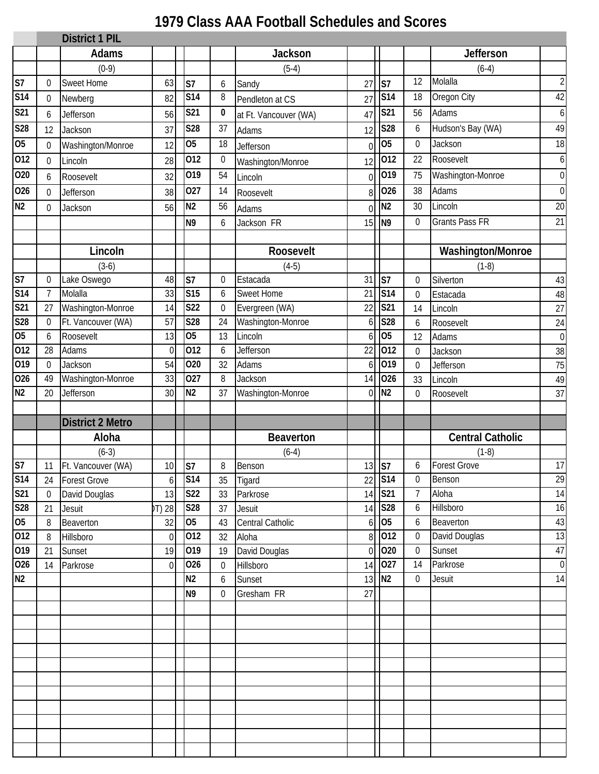## **1979 Class AAA Football Schedules and Scores**

|                  |                  | <b>District 1 PIL</b>         |                 |                         |                  |                         |                |                  |                  |                                |                  |
|------------------|------------------|-------------------------------|-----------------|-------------------------|------------------|-------------------------|----------------|------------------|------------------|--------------------------------|------------------|
|                  |                  | <b>Adams</b>                  |                 |                         |                  | <b>Jackson</b>          |                |                  |                  | <b>Jefferson</b>               |                  |
|                  |                  | $(0-9)$                       |                 |                         |                  | $(5-4)$                 |                |                  |                  | $(6-4)$                        |                  |
| S7               | 0                | <b>Sweet Home</b>             | 63              | S7                      | 6                | Sandy                   | 27             | S7               | 12               | Molalla                        | $\overline{c}$   |
| S <sub>14</sub>  | 0                | Newberg                       | 82              | S <sub>14</sub>         | 8                | Pendleton at CS         | 27             | <b>S14</b>       | 18               | Oregon City                    | 42               |
| S21              | 6                | Jefferson                     | 56              | S21                     | 0                | at Ft. Vancouver (WA)   | 47             | S21              | 56               | <b>Adams</b>                   | 6                |
| S28              | 12               | Jackson                       | 37              | $\overline{\text{S28}}$ | 37               | Adams                   | 12             | <b>S28</b>       | 6                | Hudson's Bay (WA)              | 49               |
| 05               | 0                | Washington/Monroe             | 12              | 05                      | 18               | Jefferson               | $\theta$       | 05               | $\boldsymbol{0}$ | Jackson                        | 18               |
| 012              | 0                | Lincoln                       | 28              | 012                     | $\overline{0}$   | Washington/Monroe       | 12             | 012              | 22               | Roosevelt                      | 6                |
| 020              | 6                | Roosevelt                     | 32              | 019                     | 54               | Lincoln                 | $\Omega$       | 019              | 75               | Washington-Monroe              | $\mathbf 0$      |
| 026              | 0                | Jefferson                     | 38              | 027                     | 14               | Roosevelt               | 8              | 026              | 38               | Adams                          | $\boldsymbol{0}$ |
| N <sub>2</sub>   | $\theta$         | Jackson                       | 56              | N <sub>2</sub>          | 56               | Adams                   | 0              | N <sub>2</sub>   | 30               | Lincoln                        | 20               |
|                  |                  |                               |                 | N <sub>9</sub>          | 6                | Jackson FR              | 15             | N <sub>9</sub>   | $\mathbf 0$      | <b>Grants Pass FR</b>          | 21               |
|                  |                  |                               |                 |                         |                  |                         |                |                  |                  |                                |                  |
|                  |                  | Lincoln                       |                 |                         |                  | Roosevelt               |                |                  |                  | Washington/Monroe              |                  |
|                  |                  | $(3-6)$                       |                 |                         |                  | $(4-5)$                 |                |                  |                  | $(1-8)$                        |                  |
| S7               | $\boldsymbol{0}$ | Lake Oswego                   | 48              | S7                      | $\boldsymbol{0}$ | Estacada                | 31             | S7               | $\boldsymbol{0}$ | Silverton                      | 43               |
| S <sub>14</sub>  | $\overline{7}$   | Molalla                       | 33              | $\overline{\text{S15}}$ | 6                | <b>Sweet Home</b>       | 21             | S <sub>14</sub>  | $\mathbf 0$      | Estacada                       | 48               |
| $\overline{S21}$ | 27               | Washington-Monroe             | 14              | $\overline{S22}$        | $\mathbf 0$      | Evergreen (WA)          | 22             | S <sub>21</sub>  | 14               | Lincoln                        | 27               |
| S28              | 0                | Ft. Vancouver (WA)            | $\overline{57}$ | $\overline{\text{S28}}$ | 24               | Washington-Monroe       | 61             | <b>S28</b>       | 6                | Roosevelt                      | 24               |
| 05               | 6                | Roosevelt                     | 13              | 05                      | 13               | Lincoln                 | 6              | 05               | 12               | Adams                          | $\boldsymbol{0}$ |
| 012              | 28               | Adams                         | $\mathbf 0$     | 012                     | 6                | Jefferson               | 22             | $\overline{012}$ | $\mathbf 0$      | Jackson                        | 38               |
| 019              | 0                | Jackson                       | 54              | 020                     | 32               | Adams                   | 6              | 019              | $\mathbf 0$      | Jefferson                      | 75               |
| 026              | 49               | Washington-Monroe             | 33              | 027                     | 8                | Jackson                 | 14             | 026              | 33               | Lincoln                        | 49               |
| N <sub>2</sub>   | 20               | Jefferson                     | $\overline{30}$ | N <sub>2</sub>          | 37               | Washington-Monroe       | $\overline{0}$ | N <sub>2</sub>   | $\mathbf 0$      | Roosevelt                      | 37               |
|                  |                  |                               |                 |                         |                  |                         |                |                  |                  |                                |                  |
|                  |                  | <b>District 2 Metro</b>       |                 |                         |                  |                         |                |                  |                  |                                |                  |
|                  |                  | Aloha                         |                 |                         |                  | <b>Beaverton</b>        |                |                  |                  | <b>Central Catholic</b>        |                  |
| S7               | 11               | $(6-3)$<br>Ft. Vancouver (WA) | 10 <sup>1</sup> | S7                      |                  | $(6-4)$                 |                | $13$ S7          | 6                | $(1-8)$<br><b>Forest Grove</b> | 17               |
| S14              | 24               | <b>Forest Grove</b>           | 6               | S <sub>14</sub>         | 8<br>35          | Benson<br><b>Tigard</b> | 22             | S14              | $\boldsymbol{0}$ | Benson                         | 29               |
| <b>S21</b>       | $\boldsymbol{0}$ | David Douglas                 | 13              | S22                     | 33               | Parkrose                | 14             | S21              | $\overline{7}$   | Aloha                          | 14               |
| <b>S28</b>       | 21               | Jesuit                        | T) 28           | S28                     | 37               | Jesuit                  | 14             | S28              | 6                | Hillsboro                      | 16               |
| 05               | 8                | Beaverton                     | 32              | 05                      | 43               | <b>Central Catholic</b> | 6              | 05               | 6                | Beaverton                      | 43               |
| 012              | 8                | Hillsboro                     | $\mathbf 0$     | 012                     | 32               | Aloha                   | 8              | 012              | 0                | David Douglas                  | 13               |
| 019              | 21               | Sunset                        | 19              | 019                     | 19               | David Douglas           | $\overline{0}$ | 020              | $\mathbf 0$      | Sunset                         | 47               |
| 026              | 14               | Parkrose                      | $\overline{0}$  | 026                     | $\mathbf 0$      | Hillsboro               | 14             | 027              | 14               | Parkrose                       | $\overline{0}$   |
| N <sub>2</sub>   |                  |                               |                 | N <sub>2</sub>          | 6                | Sunset                  | 13             | N2               | 0                | Jesuit                         | 14               |
|                  |                  |                               |                 | N <sub>9</sub>          | $\mathbf 0$      | Gresham FR              | 27             |                  |                  |                                |                  |
|                  |                  |                               |                 |                         |                  |                         |                |                  |                  |                                |                  |
|                  |                  |                               |                 |                         |                  |                         |                |                  |                  |                                |                  |
|                  |                  |                               |                 |                         |                  |                         |                |                  |                  |                                |                  |
|                  |                  |                               |                 |                         |                  |                         |                |                  |                  |                                |                  |
|                  |                  |                               |                 |                         |                  |                         |                |                  |                  |                                |                  |
|                  |                  |                               |                 |                         |                  |                         |                |                  |                  |                                |                  |
|                  |                  |                               |                 |                         |                  |                         |                |                  |                  |                                |                  |
|                  |                  |                               |                 |                         |                  |                         |                |                  |                  |                                |                  |
|                  |                  |                               |                 |                         |                  |                         |                |                  |                  |                                |                  |
|                  |                  |                               |                 |                         |                  |                         |                |                  |                  |                                |                  |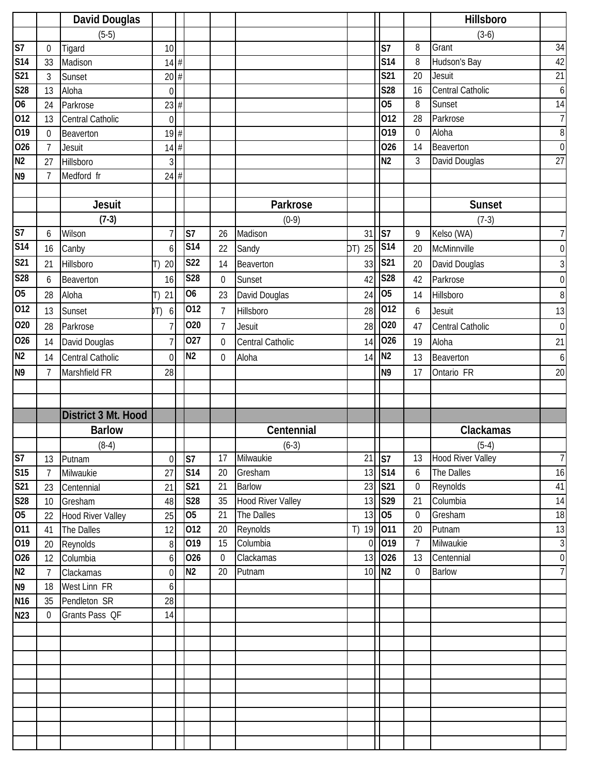|                         |                | <b>David Douglas</b>     |                |                         |                  |                          |                |                     |                | Hillsboro                |                     |
|-------------------------|----------------|--------------------------|----------------|-------------------------|------------------|--------------------------|----------------|---------------------|----------------|--------------------------|---------------------|
|                         |                | $(5-5)$                  |                |                         |                  |                          |                |                     |                | $(3-6)$                  |                     |
| S7                      | $\mathbf 0$    | Tigard                   | 10             |                         |                  |                          |                | S7                  | 8              | Grant                    | 34                  |
| <b>S14</b>              | 33             | Madison                  | $14$ #         |                         |                  |                          |                | <b>S14</b>          | 8              | Hudson's Bay             | 42                  |
| S <sub>21</sub>         | $\overline{3}$ | Sunset                   | $20 \#$        |                         |                  |                          |                | S21                 | 20             | Jesuit                   | $\overline{21}$     |
| <b>S28</b>              | 13             | Aloha                    | 0              |                         |                  |                          |                | <b>S28</b>          | 16             | <b>Central Catholic</b>  | 6                   |
| <b>O6</b>               | 24             | Parkrose                 | 23#            |                         |                  |                          |                | 05                  | 8              | Sunset                   | 14                  |
| 012                     | 13             | <b>Central Catholic</b>  | 0              |                         |                  |                          |                | 012                 | 28             | Parkrose                 | $\overline{7}$      |
| 019                     | 0              | Beaverton                | 19#            |                         |                  |                          |                | 019                 | $\mathbf 0$    | Aloha                    | 8                   |
| 026                     | $\overline{7}$ | Jesuit                   | 14#            |                         |                  |                          |                | 026                 | 14             | Beaverton                | $\boldsymbol{0}$    |
| N <sub>2</sub>          | 27             | Hillsboro                | 3              |                         |                  |                          |                | N <sub>2</sub>      | 3              | David Douglas            | $\overline{27}$     |
| N <sub>9</sub>          | $\overline{7}$ | Medford fr               | 24#            |                         |                  |                          |                |                     |                |                          |                     |
|                         |                |                          |                |                         |                  |                          |                |                     |                |                          |                     |
|                         |                | <b>Jesuit</b>            |                |                         |                  | Parkrose                 |                |                     |                | <b>Sunset</b>            |                     |
|                         |                | $(7-3)$                  |                |                         |                  | $(0-9)$                  |                |                     |                | $(7-3)$                  |                     |
| S7                      | 6              | Wilson                   | 7              | S7                      | 26               | Madison                  | 31             | S7                  | 9              | Kelso (WA)               | 7                   |
| <b>S14</b>              | 16             | Canby                    | 6              | S <sub>14</sub>         | 22               | Sandy                    | DT) 25         | <b>S14</b>          | 20             | McMinnville              | $\boldsymbol{0}$    |
| S21                     | 21             | Hillsboro                | 20<br>T)       | S22                     | 14               | Beaverton                | 33             | S21                 | 20             | David Douglas            | 3                   |
| S28                     | 6              | Beaverton                | 16             | $\overline{\text{S28}}$ | $\mathbf 0$      | Sunset                   | 42             | S28                 | 42             | Parkrose                 | $\boldsymbol{0}$    |
| 05                      | 28             | Aloha                    | T)<br>21       | O <sub>6</sub>          | 23               | David Douglas            | 24             | 05                  | 14             | Hillsboro                | 8                   |
| $\overline{012}$        | 13             | Sunset                   | )T)<br>6       | 012                     | $\overline{7}$   | Hillsboro                | 28             | 012                 | 6              | Jesuit                   | 13                  |
| 020                     |                |                          |                | 020                     | $\overline{7}$   |                          | 28             | 020                 | 47             |                          |                     |
| 026                     | 28             | Parkrose                 |                | 027                     |                  | Jesuit                   |                | 026                 |                | Central Catholic         | $\mathbf 0$         |
|                         | 14             | David Douglas            | $\overline{7}$ |                         | $\mathbf 0$      | Central Catholic         | 14             |                     | 19             | Aloha                    | 21                  |
| N <sub>2</sub>          | 14             | Central Catholic         | $\mathbf 0$    | N <sub>2</sub>          | $\boldsymbol{0}$ | Aloha                    | 14             | N <sub>2</sub>      | 13             | Beaverton                | 6                   |
| N <sub>9</sub>          | $\overline{7}$ | Marshfield FR            | 28             |                         |                  |                          |                | N <sub>9</sub>      | 17             | Ontario FR               | $\overline{20}$     |
|                         |                |                          |                |                         |                  |                          |                |                     |                |                          |                     |
|                         |                |                          |                |                         |                  |                          |                |                     |                |                          |                     |
|                         |                | District 3 Mt. Hood      |                |                         |                  |                          |                |                     |                |                          |                     |
|                         |                | <b>Barlow</b>            |                |                         |                  | Centennial               |                |                     |                | Clackamas                |                     |
|                         |                | $(8-4)$                  |                |                         |                  | $(6-3)$                  |                |                     |                | $(5-4)$                  |                     |
| S <sub>7</sub>          | 13             | Putnam                   | $\overline{0}$ | S7                      | 17               | Milwaukie                |                | $21$ S <sub>7</sub> | 13             | <b>Hood River Valley</b> | 7                   |
| S15                     | $\overline{7}$ | Milwaukie                | 27             | S14                     | 20               | Gresham                  | 13             | S <sub>14</sub>     | 6              | The Dalles               | 16                  |
| <b>S21</b>              | 23             | Centennial               | 21             | S21                     | 21               | <b>Barlow</b>            | 23             | S <sub>21</sub>     | $\mathbf 0$    | Reynolds                 | 41                  |
| $\overline{\text{S28}}$ | 10             | Gresham                  | 48             | S <sub>28</sub>         | 35               | <b>Hood River Valley</b> | 13             | S29                 | 21             | Columbia                 | 14                  |
| 05                      | 22             | <b>Hood River Valley</b> | 25             | 05                      | 21               | The Dalles               | 13             | 05                  | $\mathbf 0$    | Gresham                  | $\overline{18}$     |
| 011                     | 41             | The Dalles               | 12             | 012                     | 20               | Reynolds                 | T) 19 011      |                     | 20             | Putnam                   | 13                  |
| 019                     | 20             | Reynolds                 | 8              | 019                     | 15               | Columbia                 | $\overline{0}$ | 019                 | $\overline{7}$ | Milwaukie                | $\overline{\omega}$ |
| 026                     | 12             | Columbia                 | 6              | 026                     | $\boldsymbol{0}$ | Clackamas                | 13             | 026                 | 13             | Centennial               | $\boldsymbol{0}$    |
| N <sub>2</sub>          | 7              | Clackamas                | $\mathbf 0$    | N <sub>2</sub>          | 20               | Putnam                   | 10             | N <sub>2</sub>      | $\overline{0}$ | <b>Barlow</b>            | $\overline{7}$      |
| N <sub>9</sub>          | 18             | West Linn FR             | 6              |                         |                  |                          |                |                     |                |                          |                     |
| N <sub>16</sub>         | 35             | Pendleton SR             | 28             |                         |                  |                          |                |                     |                |                          |                     |
| N23                     | $\overline{0}$ | Grants Pass QF           | 14             |                         |                  |                          |                |                     |                |                          |                     |
|                         |                |                          |                |                         |                  |                          |                |                     |                |                          |                     |
|                         |                |                          |                |                         |                  |                          |                |                     |                |                          |                     |
|                         |                |                          |                |                         |                  |                          |                |                     |                |                          |                     |
|                         |                |                          |                |                         |                  |                          |                |                     |                |                          |                     |
|                         |                |                          |                |                         |                  |                          |                |                     |                |                          |                     |
|                         |                |                          |                |                         |                  |                          |                |                     |                |                          |                     |
|                         |                |                          |                |                         |                  |                          |                |                     |                |                          |                     |
|                         |                |                          |                |                         |                  |                          |                |                     |                |                          |                     |
|                         |                |                          |                |                         |                  |                          |                |                     |                |                          |                     |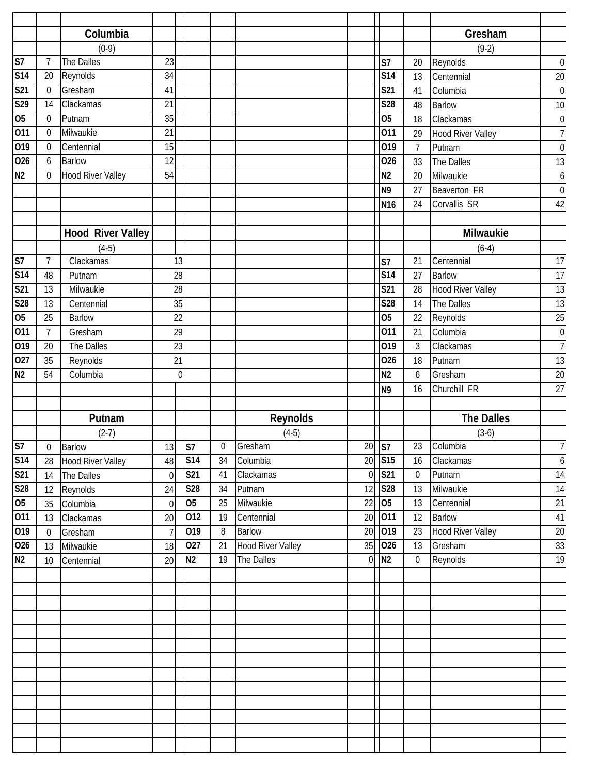|                          |                  | Columbia                 |                 |                         |    |                          |                |                  |                | Gresham                  |                  |
|--------------------------|------------------|--------------------------|-----------------|-------------------------|----|--------------------------|----------------|------------------|----------------|--------------------------|------------------|
|                          |                  | $(0-9)$                  |                 |                         |    |                          |                |                  |                | $(9-2)$                  |                  |
| S <sub>7</sub>           | $\overline{7}$   | The Dalles               | 23              |                         |    |                          |                | S7               | 20             | Reynolds                 | $\boldsymbol{0}$ |
| <b>S14</b>               | 20               | Reynolds                 | 34              |                         |    |                          |                | <b>S14</b>       | 13             | Centennial               | 20               |
| S <sub>21</sub>          | $\mathbf 0$      | Gresham                  | 41              |                         |    |                          |                | $\overline{S21}$ | 41             | Columbia                 | $\boldsymbol{0}$ |
| S29                      | 14               | Clackamas                | 21              |                         |    |                          |                | S28              | 48             | <b>Barlow</b>            | 10               |
| 05                       | 0                | Putnam                   | 35              |                         |    |                          |                | 05               | 18             | Clackamas                | $\boldsymbol{0}$ |
| 011                      | 0                | Milwaukie                | 21              |                         |    |                          |                | 011              | 29             | <b>Hood River Valley</b> | $\overline{7}$   |
| 019                      | $\boldsymbol{0}$ | Centennial               | 15              |                         |    |                          |                | 019              | $\overline{1}$ | Putnam                   | $\overline{0}$   |
| 026                      | 6                | <b>Barlow</b>            | 12              |                         |    |                          |                | 026              | 33             | The Dalles               | 13               |
| N <sub>2</sub>           | $\mathbf 0$      | <b>Hood River Valley</b> | 54              |                         |    |                          |                | N <sub>2</sub>   | 20             | Milwaukie                | $\boldsymbol{6}$ |
|                          |                  |                          |                 |                         |    |                          |                | N <sub>9</sub>   | 27             | Beaverton FR             | $\boldsymbol{0}$ |
|                          |                  |                          |                 |                         |    |                          |                | N <sub>16</sub>  | 24             | Corvallis SR             | 42               |
|                          |                  |                          |                 |                         |    |                          |                |                  |                |                          |                  |
|                          |                  | <b>Hood River Valley</b> |                 |                         |    |                          |                |                  |                | Milwaukie                |                  |
|                          |                  | $(4-5)$                  |                 |                         |    |                          |                |                  |                | $(6-4)$                  |                  |
| S7                       | 7                | Clackamas                | 13              |                         |    |                          |                | S7               | 21             | Centennial               | 17               |
| <b>S14</b>               | 48               | Putnam                   | 28              |                         |    |                          |                | <b>S14</b>       | 27             | <b>Barlow</b>            | $\overline{17}$  |
| S <sub>21</sub>          | 13               | Milwaukie                | 28              |                         |    |                          |                | S21              | 28             | <b>Hood River Valley</b> | 13               |
| S28                      | 13               | Centennial               | 35              |                         |    |                          |                | S28              | 14             | The Dalles               | 13               |
| 05                       | 25               | <b>Barlow</b>            | $\overline{22}$ |                         |    |                          |                | 05               | 22             | Reynolds                 | 25               |
| 011                      | 7                | Gresham                  | 29              |                         |    |                          |                | 011              | 21             | Columbia                 | $\boldsymbol{0}$ |
| 019                      | 20               | The Dalles               | 23              |                         |    |                          |                | 019              | $\mathfrak{Z}$ | Clackamas                | $\overline{7}$   |
| 027                      | 35               | Reynolds                 | 21              |                         |    |                          |                | 026              | 18             | Putnam                   | $\overline{13}$  |
| N <sub>2</sub>           | 54               | Columbia                 | $\mathbf{0}$    |                         |    |                          |                | N <sub>2</sub>   | 6              | Gresham                  | $\overline{20}$  |
|                          |                  |                          |                 |                         |    |                          |                | N <sub>9</sub>   | 16             | Churchill FR             | 27               |
|                          |                  |                          |                 |                         |    |                          |                |                  |                |                          |                  |
|                          |                  | Putnam                   |                 |                         |    | Reynolds                 |                |                  |                | <b>The Dalles</b>        |                  |
|                          |                  | $(2-7)$                  |                 |                         |    | $(4-5)$                  |                |                  |                | $(3-6)$                  |                  |
| $\overline{\mathsf{S}7}$ | 0                | <b>Barlow</b>            | 13              | S7                      | 0  | Gresham                  |                | 20 S7            | 23             | Columbia                 | $\overline{7}$   |
| <b>S14</b>               | 28               | <b>Hood River Valley</b> | 48              | <b>S14</b>              | 34 | Columbia                 |                | 20 S15           | 16             | Clackamas                | $\boldsymbol{6}$ |
| <b>S21</b>               | 14               | The Dalles               | $\mathbf 0$     | S21                     | 41 | Clackamas                | $\overline{0}$ | S <sub>21</sub>  | $\mathbf 0$    | Putnam                   | 14               |
| <b>S28</b>               | 12               | Reynolds                 | 24              | $\overline{\text{S28}}$ | 34 | Putnam                   | 12             | S28              | 13             | Milwaukie                | 14               |
| 05                       | 35               | Columbia                 | $\mathbf 0$     | $\overline{05}$         | 25 | Milwaukie                | 22             | 05               | 13             | Centennial               | $\overline{21}$  |
| 011                      | 13               | Clackamas                | 20              | 012                     | 19 | Centennial               | 20             | 011              | 12             | <b>Barlow</b>            | 41               |
| 019                      | $\mathbf 0$      | Gresham                  | 7               | 019                     | 8  | <b>Barlow</b>            | 20             | 019              | 23             | <b>Hood River Valley</b> | $\overline{20}$  |
| 026                      | 13               | Milwaukie                | 18              | 027                     | 21 | <b>Hood River Valley</b> | 35             | 026              | 13             | Gresham                  | 33               |
| N <sub>2</sub>           | 10               | Centennial               | 20              | N <sub>2</sub>          | 19 | The Dalles               | $\overline{0}$ | N <sub>2</sub>   | $\overline{0}$ | Reynolds                 | $\overline{19}$  |
|                          |                  |                          |                 |                         |    |                          |                |                  |                |                          |                  |
|                          |                  |                          |                 |                         |    |                          |                |                  |                |                          |                  |
|                          |                  |                          |                 |                         |    |                          |                |                  |                |                          |                  |
|                          |                  |                          |                 |                         |    |                          |                |                  |                |                          |                  |
|                          |                  |                          |                 |                         |    |                          |                |                  |                |                          |                  |
|                          |                  |                          |                 |                         |    |                          |                |                  |                |                          |                  |
|                          |                  |                          |                 |                         |    |                          |                |                  |                |                          |                  |
|                          |                  |                          |                 |                         |    |                          |                |                  |                |                          |                  |
|                          |                  |                          |                 |                         |    |                          |                |                  |                |                          |                  |
|                          |                  |                          |                 |                         |    |                          |                |                  |                |                          |                  |
|                          |                  |                          |                 |                         |    |                          |                |                  |                |                          |                  |
|                          |                  |                          |                 |                         |    |                          |                |                  |                |                          |                  |
|                          |                  |                          |                 |                         |    |                          |                |                  |                |                          |                  |
|                          |                  |                          |                 |                         |    |                          |                |                  |                |                          |                  |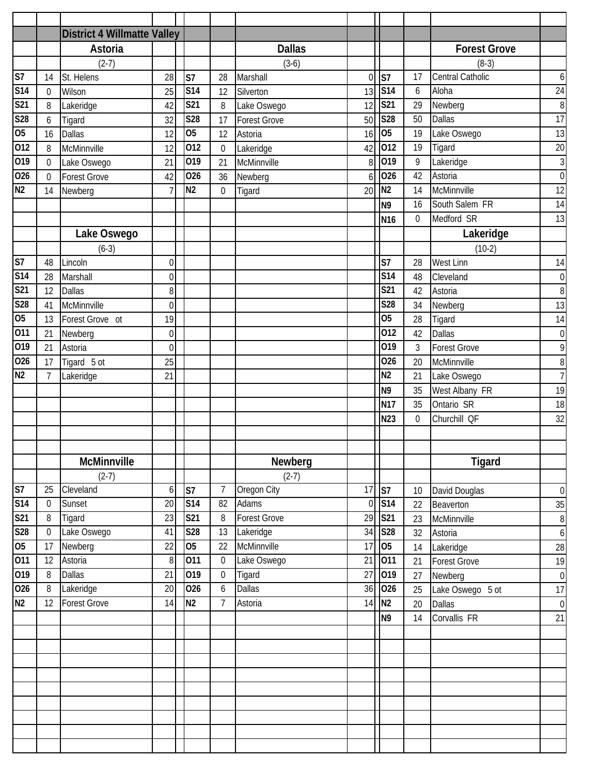|                          |                  | <b>District 4 Willmatte Valley</b> |                  |                         |                  |                        |                |                 |                  |                                  |                        |
|--------------------------|------------------|------------------------------------|------------------|-------------------------|------------------|------------------------|----------------|-----------------|------------------|----------------------------------|------------------------|
|                          |                  | Astoria                            |                  |                         |                  | <b>Dallas</b>          |                |                 |                  | <b>Forest Grove</b>              |                        |
|                          |                  | $(2-7)$                            |                  |                         |                  | $(3-6)$                |                |                 |                  | $(8-3)$                          |                        |
| $\overline{\mathsf{S}7}$ | 14               | St. Helens                         | 28               | S7                      | 28               | Marshall               | $\overline{0}$ | S7              | 17               | <b>Central Catholic</b>          | $6 \mid$               |
| S <sub>14</sub>          | 0                | Wilson                             | 25               | $\overline{S14}$        | 12               | Silverton              | 13             | <b>S14</b>      | 6                | Aloha                            | $\overline{24}$        |
| S21                      | 8                | Lakeridge                          | 42               | S21                     | 8                | Lake Oswego            | 12             | S21             | 29               | Newberg                          | 8                      |
| S <sub>28</sub>          | 6                | Tigard                             | 32               | <b>S28</b>              | 17               | <b>Forest Grove</b>    | 50             | <b>S28</b>      | 50               | <b>Dallas</b>                    | 17                     |
| 05                       | 16               | Dallas                             | 12               | $\overline{05}$         | 12               | Astoria                | 16             | 05              | 19               | Lake Oswego                      | 13                     |
| 012                      | 8                | McMinnville                        | 12               | 012                     | $\boldsymbol{0}$ | Lakeridge              | 42             | 012             | 19               | Tigard                           | $\overline{20}$        |
| 019                      | $\boldsymbol{0}$ | Lake Oswego                        | 21               | 019                     | 21               | McMinnville            | 8              | 019             | 9                | Lakeridge                        | $\mathbf{3}$           |
| 026                      | $\overline{0}$   | <b>Forest Grove</b>                | 42               | $\overline{026}$        | 36               | Newberg                | 6              | 026             | 42               | Astoria                          | $\overline{0}$         |
| N <sub>2</sub>           | 14               | Newberg                            | $\overline{7}$   | N <sub>2</sub>          | $\mathbf 0$      | Tigard                 | 20             | N <sub>2</sub>  | 14               | McMinnville                      | 12                     |
|                          |                  |                                    |                  |                         |                  |                        |                | N <sub>9</sub>  | 16               | South Salem FR                   | 14                     |
|                          |                  |                                    |                  |                         |                  |                        |                | N <sub>16</sub> | $\boldsymbol{0}$ | Medford SR                       | 13                     |
|                          |                  | Lake Oswego                        |                  |                         |                  |                        |                |                 |                  | Lakeridge                        |                        |
|                          |                  | $(6-3)$                            |                  |                         |                  |                        |                |                 |                  | $(10-2)$                         |                        |
| S7                       | 48               | Lincoln                            | $\boldsymbol{0}$ |                         |                  |                        |                | S7              | 28               | <b>West Linn</b>                 | 14                     |
| S <sub>14</sub>          | 28               | Marshall                           | $\mathbf 0$      |                         |                  |                        |                | S14             | 48               | Cleveland                        | $\boldsymbol{0}$       |
| S21                      | 12               | <b>Dallas</b>                      | 8                |                         |                  |                        |                | S21             | 42               | Astoria                          | $\, 8$                 |
| S28                      | 41               | McMinnville                        | $\mathbf 0$      |                         |                  |                        |                | S28             | 34               | Newberg                          | 13                     |
| 05                       | 13               | Forest Grove ot                    | 19               |                         |                  |                        |                | 05              | 28               | Tigard                           | 14                     |
| 011                      | 21               | Newberg                            | $\mathbf 0$      |                         |                  |                        |                | 012             | 42               | Dallas                           | $\overline{0}$         |
| 019                      | 21               | Astoria                            | $\mathbf 0$      |                         |                  |                        |                | 019             | 3                | <b>Forest Grove</b>              | 9                      |
| 026                      | 17               | Tigard 5 ot                        | 25               |                         |                  |                        |                | 026             | 20               | McMinnville                      | 8                      |
| N <sub>2</sub>           | $\overline{7}$   | Lakeridge                          | 21               |                         |                  |                        |                | N <sub>2</sub>  | 21               | Lake Oswego                      | 7 <sup>1</sup>         |
|                          |                  |                                    |                  |                         |                  |                        |                | N <sub>9</sub>  | 35               | West Albany FR                   | 19                     |
|                          |                  |                                    |                  |                         |                  |                        |                | <b>N17</b>      | 35               | Ontario SR                       | 18                     |
|                          |                  |                                    |                  |                         |                  |                        |                | <b>N23</b>      | 0                | Churchill QF                     | 32                     |
|                          |                  |                                    |                  |                         |                  |                        |                |                 |                  |                                  |                        |
|                          |                  |                                    |                  |                         |                  |                        |                |                 |                  |                                  |                        |
|                          |                  | McMinnville                        |                  |                         |                  | Newberg                |                |                 |                  | <b>Tigard</b>                    |                        |
|                          |                  |                                    |                  |                         |                  |                        |                |                 |                  |                                  |                        |
| S7                       | 25               | $(2-7)$<br>Cleveland               |                  | S7                      | 7                | $(2-7)$<br>Oregon City | 17             | S7              | 10               |                                  |                        |
| S <sub>14</sub>          | $\boldsymbol{0}$ | Sunset                             | 6<br>20          | S <sub>14</sub>         | 82               | Adams                  | $\overline{0}$ | S <sub>14</sub> | 22               | David Douglas<br>Beaverton       | $\boldsymbol{0}$<br>35 |
| S <sub>21</sub>          | 8                | Tigard                             | 23               | $\overline{\text{S21}}$ | 8                | <b>Forest Grove</b>    | 29             | S <sub>21</sub> | 23               | McMinnville                      |                        |
| S28                      | $\overline{0}$   | Lake Oswego                        | 41               | S28                     | 13               | Lakeridge              | 34             | S <sub>28</sub> | 32               | Astoria                          | $\, 8$                 |
| 05                       | 17               | Newberg                            | 22               | $\overline{05}$         | 22               | McMinnville            | 17             | 05              |                  |                                  | $\boldsymbol{6}$       |
| 011                      | 12               | Astoria                            | 8                | 011                     | $\boldsymbol{0}$ | Lake Oswego            | 21             | 011             | 14<br>21         | Lakeridge<br><b>Forest Grove</b> | 28<br>19               |
| 019                      | 8                | <b>Dallas</b>                      | 21               | 019                     | $\mathbf 0$      | Tigard                 | 27             | 019             |                  |                                  |                        |
| 026                      | 8                |                                    | 20               | 026                     | 6                | <b>Dallas</b>          | 36             | 026             | 27               | Newberg                          | $\overline{0}$         |
| N <sub>2</sub>           | 12               | Lakeridge<br><b>Forest Grove</b>   | 14               | N <sub>2</sub>          | $\overline{1}$   | Astoria                | 14             | N <sub>2</sub>  | 25               | Lake Oswego 5 ot                 | 17                     |
|                          |                  |                                    |                  |                         |                  |                        |                |                 | 20               | <b>Dallas</b>                    | $\boldsymbol{0}$       |
|                          |                  |                                    |                  |                         |                  |                        |                | N <sub>9</sub>  | 14               | Corvallis FR                     | 21                     |
|                          |                  |                                    |                  |                         |                  |                        |                |                 |                  |                                  |                        |
|                          |                  |                                    |                  |                         |                  |                        |                |                 |                  |                                  |                        |
|                          |                  |                                    |                  |                         |                  |                        |                |                 |                  |                                  |                        |
|                          |                  |                                    |                  |                         |                  |                        |                |                 |                  |                                  |                        |
|                          |                  |                                    |                  |                         |                  |                        |                |                 |                  |                                  |                        |
|                          |                  |                                    |                  |                         |                  |                        |                |                 |                  |                                  |                        |
|                          |                  |                                    |                  |                         |                  |                        |                |                 |                  |                                  |                        |
|                          |                  |                                    |                  |                         |                  |                        |                |                 |                  |                                  |                        |
|                          |                  |                                    |                  |                         |                  |                        |                |                 |                  |                                  |                        |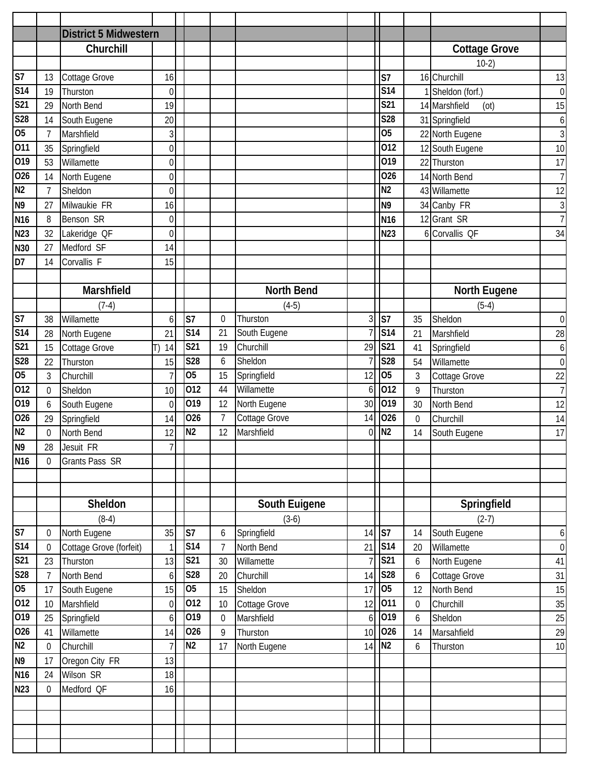|                 |                | <b>District 5 Midwestern</b> |                |                         |                  |                   |                |                 |                  |                             |                  |
|-----------------|----------------|------------------------------|----------------|-------------------------|------------------|-------------------|----------------|-----------------|------------------|-----------------------------|------------------|
|                 |                | Churchill                    |                |                         |                  |                   |                |                 |                  | <b>Cottage Grove</b>        |                  |
|                 |                |                              |                |                         |                  |                   |                |                 |                  | $10-2)$                     |                  |
| S <sub>7</sub>  | 13             | Cottage Grove                | 16             |                         |                  |                   |                | S7              |                  | 16 Churchill                | 13               |
| S <sub>14</sub> | 19             | Thurston                     | 0              |                         |                  |                   |                | S14             |                  | Sheldon (forf.)             | $\overline{0}$   |
| S21             | 29             | North Bend                   | 19             |                         |                  |                   |                | S21             |                  | 14 Marshfield<br>$($ ot $)$ | 15               |
| S28             | 14             | South Eugene                 | 20             |                         |                  |                   |                | S28             |                  | 31 Springfield              | $6 \mid$         |
| O <sub>5</sub>  | $\overline{7}$ | Marshfield                   | $\sqrt{3}$     |                         |                  |                   |                | 05              |                  | 22 North Eugene             | $\overline{3}$   |
| 011             | 35             | Springfield                  | 0              |                         |                  |                   |                | 012             |                  | 12 South Eugene             | 10               |
| 019             | 53             | Willamette                   | 0              |                         |                  |                   |                | 019             |                  | 22 Thurston                 | 17               |
| 026             | 14             | North Eugene                 | 0              |                         |                  |                   |                | 026             |                  | 14 North Bend               | $\overline{7}$   |
| N <sub>2</sub>  | 7              | Sheldon                      | 0              |                         |                  |                   |                | N <sub>2</sub>  |                  | 43 Willamette               | 12               |
| N <sub>9</sub>  | 27             | Milwaukie FR                 | 16             |                         |                  |                   |                | N <sub>9</sub>  |                  | 34 Canby FR                 | $\overline{3}$   |
| N <sub>16</sub> | 8              | Benson SR                    | $\mathbf 0$    |                         |                  |                   |                | <b>N16</b>      |                  | 12 Grant SR                 | 7                |
| N23             | 32             | Lakeridge QF                 | 0              |                         |                  |                   |                | <b>N23</b>      |                  | 6 Corvallis QF              | 34               |
| <b>N30</b>      | 27             | Medford SF                   | 14             |                         |                  |                   |                |                 |                  |                             |                  |
| D7              | 14             | Corvallis F                  | 15             |                         |                  |                   |                |                 |                  |                             |                  |
|                 |                |                              |                |                         |                  |                   |                |                 |                  |                             |                  |
|                 |                | Marshfield                   |                |                         |                  | <b>North Bend</b> |                |                 |                  | <b>North Eugene</b>         |                  |
|                 |                | $(7-4)$                      |                |                         |                  | $(4-5)$           |                |                 |                  | $(5-4)$                     |                  |
| S7              | 38             | Willamette                   | 6              | S7                      | $\boldsymbol{0}$ | Thurston          | 3 <sup>1</sup> | S7              | 35               | Sheldon                     | $\overline{0}$   |
| <b>S14</b>      | 28             | North Eugene                 | 21             | <b>S14</b>              | 21               | South Eugene      |                | <b>S14</b>      | 21               | Marshfield                  | 28               |
| S <sub>21</sub> | 15             | Cottage Grove                | T)<br>14       | $\overline{S21}$        | 19               | Churchill         | 29             | S <sub>21</sub> | 41               | Springfield                 | $6 \mid$         |
| <b>S28</b>      | 22             | Thurston                     | 15             | <b>S28</b>              | 6                | Sheldon           |                | <b>S28</b>      | 54               | Willamette                  | $\overline{0}$   |
| 05              | 3              | Churchill                    | $\overline{7}$ | 05                      | 15               | Springfield       | 12             | 05              | 3                | Cottage Grove               | 22               |
| 012             |                | Sheldon                      | 10             | $\overline{012}$        | 44               | Willamette        | 6              | 012             | 9                | Thurston                    | $\overline{7}$   |
| 019             | 0              |                              |                | 019                     | 12               | North Eugene      | 30             | 019             |                  | North Bend                  |                  |
| 026             | 6              | South Eugene                 | $\theta$       | 026                     | $\overline{7}$   | Cottage Grove     | 14             | 026             | 30               |                             | 12               |
| N <sub>2</sub>  | 29             | Springfield                  | 14             | N <sub>2</sub>          | 12               | Marshfield        | $\Omega$       | N <sub>2</sub>  | $\boldsymbol{0}$ | Churchill                   | 14               |
|                 | 0              | North Bend                   | 12             |                         |                  |                   |                |                 | 14               | South Eugene                | 17               |
| N <sub>9</sub>  | 28             | Jesuit FR                    | $\overline{7}$ |                         |                  |                   |                |                 |                  |                             |                  |
| N <sub>16</sub> | 0              | Grants Pass SR               |                |                         |                  |                   |                |                 |                  |                             |                  |
|                 |                |                              |                |                         |                  |                   |                |                 |                  |                             |                  |
|                 |                |                              |                |                         |                  |                   |                |                 |                  |                             |                  |
|                 |                | Sheldon                      |                |                         |                  | South Euigene     |                |                 |                  | Springfield                 |                  |
|                 |                | $(8-4)$                      |                |                         |                  | $(3-6)$           |                |                 |                  | $(2-7)$                     |                  |
| S7              | 0              | North Eugene                 | 35             | S7                      | 6                | Springfield       | 14             | S7              | 14               | South Eugene                | $6 \overline{6}$ |
| S <sub>14</sub> | $\mathbf 0$    | Cottage Grove (forfeit)      | 1              | $\overline{\text{S}14}$ | $\overline{1}$   | North Bend        | 21             | S <sub>14</sub> | 20               | Willamette                  | $\overline{0}$   |
| S <sub>21</sub> | 23             | Thurston                     | 13             | S21                     | 30               | Willamette        | 7              | S21             | 6                | North Eugene                | 41               |
| <b>S28</b>      | $\overline{7}$ | North Bend                   | 6              | <b>S28</b>              | 20               | Churchill         | 14             | <b>S28</b>      | 6                | Cottage Grove               | 31               |
| 05              | 17             | South Eugene                 | 15             | $\overline{05}$         | 15               | Sheldon           | 17             | 05              | 12               | North Bend                  | 15               |
| 012             | 10             | Marshfield                   | $\mathbf 0$    | $\overline{012}$        | 10               | Cottage Grove     | 12             | 011             | $\mathbf 0$      | Churchill                   | 35               |
| 019             | 25             | Springfield                  | 6              | 019                     | $\boldsymbol{0}$ | Marshfield        | 6              | 019             | 6                | Sheldon                     | 25               |
| 026             | 41             | Willamette                   | 14             | 026                     | 9                | Thurston          | 10             | 026             | 14               | Marsahfield                 | 29               |
| N <sub>2</sub>  | $\mathbf 0$    | Churchill                    | $\overline{7}$ | N <sub>2</sub>          | 17               | North Eugene      | 14             | N <sub>2</sub>  | 6                | Thurston                    | 10               |
| N <sub>9</sub>  | 17             | Oregon City FR               | 13             |                         |                  |                   |                |                 |                  |                             |                  |
| N <sub>16</sub> | 24             | Wilson SR                    | 18             |                         |                  |                   |                |                 |                  |                             |                  |
| N23             | 0              | Medford QF                   | 16             |                         |                  |                   |                |                 |                  |                             |                  |
|                 |                |                              |                |                         |                  |                   |                |                 |                  |                             |                  |
|                 |                |                              |                |                         |                  |                   |                |                 |                  |                             |                  |
|                 |                |                              |                |                         |                  |                   |                |                 |                  |                             |                  |
|                 |                |                              |                |                         |                  |                   |                |                 |                  |                             |                  |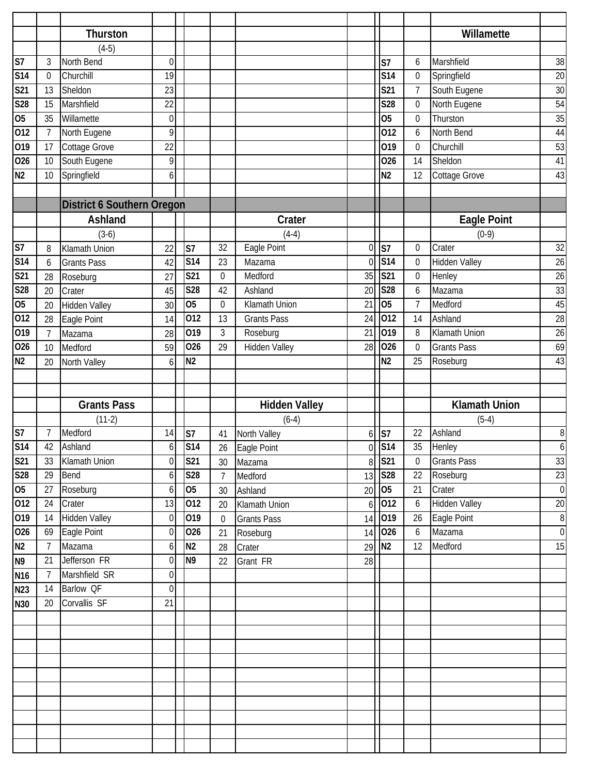|                          |                | <b>Thurston</b>                   |                  |                         |                  |                      |                |                         |                | Willamette           |                 |
|--------------------------|----------------|-----------------------------------|------------------|-------------------------|------------------|----------------------|----------------|-------------------------|----------------|----------------------|-----------------|
|                          |                | $(4-5)$                           |                  |                         |                  |                      |                |                         |                |                      |                 |
| S <sub>7</sub>           | 3              | North Bend                        | $\overline{0}$   |                         |                  |                      |                | S7                      | 6              | Marshfield           | 38              |
| <b>S14</b>               | 0              | Churchill                         | 19               |                         |                  |                      |                | $\overline{S14}$        | $\mathbf 0$    | Springfield          | 20              |
| S <sub>21</sub>          | 13             | Sheldon                           | 23               |                         |                  |                      |                | S21                     | $\overline{7}$ | South Eugene         | 30              |
| S28                      | 15             | Marshfield                        | 22               |                         |                  |                      |                | <b>S28</b>              | $\mathbf 0$    | North Eugene         | 54              |
| $\overline{0}5$          | 35             | Willamette                        | $\boldsymbol{0}$ |                         |                  |                      |                | 05                      | $\mathbf 0$    | Thurston             | 35              |
| 012                      | $\overline{7}$ | North Eugene                      | 9                |                         |                  |                      |                | 012                     | 6              | North Bend           | $\overline{44}$ |
| 019                      | 17             | Cottage Grove                     | 22               |                         |                  |                      |                | 019                     | $\mathbf 0$    | Churchill            | 53              |
| 026                      | 10             | South Eugene                      | 9                |                         |                  |                      |                | 026                     | 14             | Sheldon              | $\overline{41}$ |
| N <sub>2</sub>           | 10             | Springfield                       | 6                |                         |                  |                      |                | N <sub>2</sub>          | 12             | Cottage Grove        | 43              |
|                          |                |                                   |                  |                         |                  |                      |                |                         |                |                      |                 |
|                          |                | <b>District 6 Southern Oregon</b> |                  |                         |                  |                      |                |                         |                |                      |                 |
|                          |                | Ashland                           |                  |                         |                  | Crater               |                |                         |                | <b>Eagle Point</b>   |                 |
|                          |                | $(3-6)$                           |                  |                         |                  | $(4-4)$              |                |                         |                | $(0-9)$              |                 |
| S <sub>7</sub>           | 8              | Klamath Union                     | 22               | S7                      | 32               | Eagle Point          | $\overline{0}$ | S7                      | $\mathbf 0$    | Crater               | 32              |
| S <sub>14</sub>          | 6              | <b>Grants Pass</b>                | 42               | S14                     | 23               | Mazama               | $\theta$       | $\overline{S14}$        | $\mathbf 0$    | <b>Hidden Valley</b> | $\overline{26}$ |
| S <sub>21</sub>          | 28             | Roseburg                          | 27               | S21                     | $\mathbf 0$      | Medford              | 35             | $\overline{\text{S21}}$ | $\mathbf 0$    | Henley               | 26              |
| S28                      | 20             | Crater                            | 45               | $\overline{\text{S28}}$ | 42               | Ashland              | 20             | S28                     | 6              | Mazama               | 33              |
| 05                       | 20             | Hidden Valley                     | 30               | 05                      | $\boldsymbol{0}$ | Klamath Union        | 21             | 05                      | 7              | Medford              | 45              |
| 012                      | 28             | Eagle Point                       | 14               | 012                     | 13               | <b>Grants Pass</b>   | 24             | 012                     | 14             | Ashland              | 28              |
| 019                      | $\overline{7}$ | Mazama                            | 28               | 019                     | 3                | Roseburg             | 21             | 019                     | 8              | Klamath Union        | $\overline{26}$ |
| 026                      | 10             | Medford                           | 59               | 026                     | 29               | <b>Hidden Valley</b> | 28             | 026                     | $\mathbf 0$    | <b>Grants Pass</b>   | 69              |
| N <sub>2</sub>           | 20             | North Valley                      | 6                | N <sub>2</sub>          |                  |                      |                | N <sub>2</sub>          | 25             | Roseburg             | 43              |
|                          |                |                                   |                  |                         |                  |                      |                |                         |                |                      |                 |
|                          |                |                                   |                  |                         |                  |                      |                |                         |                |                      |                 |
|                          |                | <b>Grants Pass</b>                |                  |                         |                  | <b>Hidden Valley</b> |                |                         |                | <b>Klamath Union</b> |                 |
|                          |                |                                   |                  |                         |                  |                      |                |                         |                |                      |                 |
|                          |                | $(11-2)$                          |                  |                         |                  | $(6-4)$              |                |                         |                | $(5-4)$              |                 |
| $\overline{\mathsf{S}7}$ | 7              | Medford                           | 14               | S7                      | 41               | North Valley         | $6 \mid$       | S <sub>7</sub>          | 22             | Ashland              | 8               |
| <b>S14</b>               | 42             | Ashland                           | $6 \mid$         | S <sub>14</sub>         | 26               | Eagle Point          |                | $0$ S <sub>14</sub>     | 35             | Henley               | 6               |
| S <sub>21</sub>          | 33             | Klamath Union                     | $\boldsymbol{0}$ | S21                     | 30               | Mazama               | 8 <sup>1</sup> | S21                     | $\overline{0}$ | <b>Grants Pass</b>   | 33              |
| S28                      | 29             | Bend                              | 6                | S28                     | $\overline{7}$   | Medford              | 13             | S28                     | 22             | Roseburg             | 23              |
| 05                       | 27             | Roseburg                          | 6                | 05                      | 30               | Ashland              | 20             | 05                      | 21             | Crater               | $\mathbf 0$     |
| 012                      | 24             | Crater                            | 13               | $\overline{012}$        | 20               | Klamath Union        | $6 \mid$       | 012                     | 6              | <b>Hidden Valley</b> | 20              |
| 019                      | 14             | <b>Hidden Valley</b>              | $\boldsymbol{0}$ | 019                     | $\boldsymbol{0}$ | <b>Grants Pass</b>   | 14             | 019                     | 26             | Eagle Point          | $\, 8$          |
| 026                      | 69             | Eagle Point                       | $\boldsymbol{0}$ | 026                     | 21               | Roseburg             | 14             | 026                     | 6              | Mazama               | $\overline{0}$  |
| N2                       | $\overline{7}$ | Mazama                            | 6                | N <sub>2</sub>          | 28               | Crater               | 29             | N <sub>2</sub>          | 12             | Medford              | 15              |
| N <sub>9</sub>           | 21             | Jefferson FR                      | $\boldsymbol{0}$ | N9                      | 22               | Grant FR             | 28             |                         |                |                      |                 |
| N <sub>16</sub>          | $\overline{7}$ | Marshfield SR                     | $\boldsymbol{0}$ |                         |                  |                      |                |                         |                |                      |                 |
| N23                      | 14             | Barlow QF                         | $\mathbf 0$      |                         |                  |                      |                |                         |                |                      |                 |
| N30                      | 20             | Corvallis SF                      | 21               |                         |                  |                      |                |                         |                |                      |                 |
|                          |                |                                   |                  |                         |                  |                      |                |                         |                |                      |                 |
|                          |                |                                   |                  |                         |                  |                      |                |                         |                |                      |                 |
|                          |                |                                   |                  |                         |                  |                      |                |                         |                |                      |                 |
|                          |                |                                   |                  |                         |                  |                      |                |                         |                |                      |                 |
|                          |                |                                   |                  |                         |                  |                      |                |                         |                |                      |                 |
|                          |                |                                   |                  |                         |                  |                      |                |                         |                |                      |                 |
|                          |                |                                   |                  |                         |                  |                      |                |                         |                |                      |                 |
|                          |                |                                   |                  |                         |                  |                      |                |                         |                |                      |                 |
|                          |                |                                   |                  |                         |                  |                      |                |                         |                |                      |                 |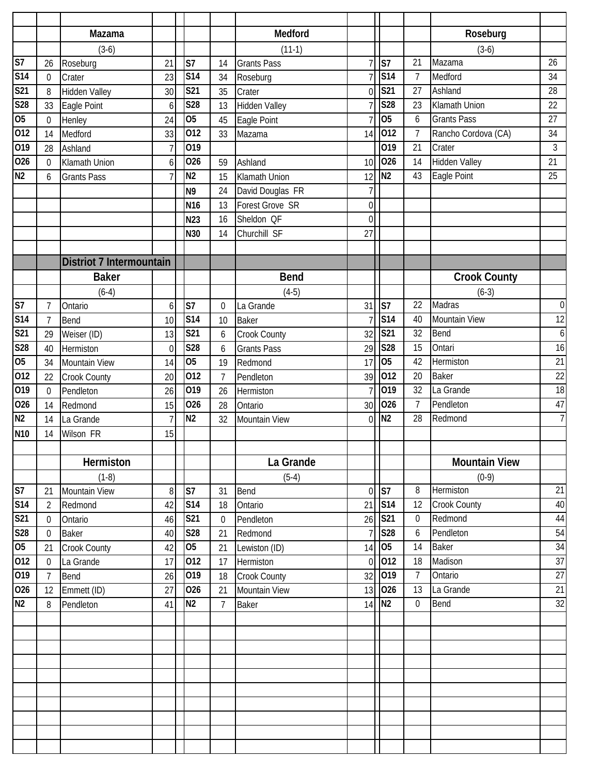|                 |                | Mazama                   |                |                         |                  | Medford              |                  |                 |                 | Roseburg             |                  |
|-----------------|----------------|--------------------------|----------------|-------------------------|------------------|----------------------|------------------|-----------------|-----------------|----------------------|------------------|
|                 |                | $(3-6)$                  |                |                         |                  | $(11-1)$             |                  |                 |                 | $(3-6)$              |                  |
| S <sub>7</sub>  | 26             | Roseburg                 | 21             | S7                      | 14               | <b>Grants Pass</b>   | $\overline{7}$   | S7              | 21              | Mazama               | 26               |
| S <sub>14</sub> | 0              | Crater                   | 23             | S <sub>14</sub>         | 34               | Roseburg             | $\overline{7}$   | S <sub>14</sub> | $\overline{7}$  | Medford              | 34               |
| S21             | 8              | <b>Hidden Valley</b>     | 30             | S21                     | 35               | Crater               | $\Omega$         | S21             | 27              | Ashland              | 28               |
| <b>S28</b>      | 33             | Eagle Point              | 6              | $\overline{\text{S28}}$ | 13               | <b>Hidden Valley</b> | $\overline{7}$   | S28             | 23              | <b>Klamath Union</b> | 22               |
| O <sub>5</sub>  | 0              | Henley                   | 24             | 05                      | 45               | Eagle Point          |                  | 05              | 6               | <b>Grants Pass</b>   | 27               |
| 012             | 14             | Medford                  | 33             | 012                     | 33               | Mazama               | 14               | 012             | $\overline{7}$  | Rancho Cordova (CA)  | 34               |
| 019             | 28             | Ashland                  | 7              | 019                     |                  |                      |                  | 019             | 21              | Crater               | $\mathfrak{Z}$   |
| 026             | $\overline{0}$ | <b>Klamath Union</b>     | 6              | 026                     | 59               | Ashland              | 10               | 026             | 14              | <b>Hidden Valley</b> | 21               |
| N <sub>2</sub>  | 6              | <b>Grants Pass</b>       | $\overline{7}$ | N <sub>2</sub>          | 15               | Klamath Union        | 12               | N <sub>2</sub>  | 43              | Eagle Point          | 25               |
|                 |                |                          |                | N <sub>9</sub>          | 24               | David Douglas FR     | $\overline{7}$   |                 |                 |                      |                  |
|                 |                |                          |                | N <sub>16</sub>         | 13               | Forest Grove SR      | $\boldsymbol{0}$ |                 |                 |                      |                  |
|                 |                |                          |                | <b>N23</b>              | 16               | Sheldon QF           | $\mathbf 0$      |                 |                 |                      |                  |
|                 |                |                          |                | N30                     | 14               | Churchill SF         | 27               |                 |                 |                      |                  |
|                 |                |                          |                |                         |                  |                      |                  |                 |                 |                      |                  |
|                 |                | Distriot 7 Intermountain |                |                         |                  |                      |                  |                 |                 |                      |                  |
|                 |                | <b>Baker</b>             |                |                         |                  | <b>Bend</b>          |                  |                 |                 | <b>Crook County</b>  |                  |
|                 |                | $(6-4)$                  |                |                         |                  | $(4-5)$              |                  |                 |                 | $(6-3)$              |                  |
| S7              | $\overline{7}$ | Ontario                  | 6              | S7                      | $\boldsymbol{0}$ | La Grande            | 31               | S7              | 22              | Madras               | $\boldsymbol{0}$ |
| <b>S14</b>      | $\overline{7}$ | Bend                     | 10             | <b>S14</b>              | 10               | <b>Baker</b>         |                  | <b>S14</b>      | 40              | <b>Mountain View</b> | 12               |
| S <sub>21</sub> | 29             | Weiser (ID)              | 13             | S <sub>21</sub>         | 6                | Crook County         | 32               | S <sub>21</sub> | 32              | <b>Bend</b>          | $\boldsymbol{6}$ |
| S28             | 40             | Hermiston                | $\Omega$       | $\overline{\text{S28}}$ | 6                | <b>Grants Pass</b>   | 29               | S28             | 15              | Ontari               | $\overline{16}$  |
| 05              | 34             | <b>Mountain View</b>     | 14             | 05                      | 19               | Redmond              | 17               | 05              | 42              | Hermiston            | 21               |
| 012             | 22             | <b>Crook County</b>      | 20             | 012                     | $\overline{7}$   | Pendleton            | 39               | 012             | 20              | <b>Baker</b>         | $\overline{22}$  |
| 019             | 0              | Pendleton                | 26             | 019                     | 26               | Hermiston            | 7                | 019             | 32              | La Grande            | $\overline{18}$  |
| 026             | 14             | Redmond                  | 15             | 026                     | 28               | Ontario              | 30               | 026             | $\overline{7}$  | Pendleton            | 47               |
| N <sub>2</sub>  | 14             | La Grande                | 7              | N <sub>2</sub>          | 32               | Mountain View        | $\Omega$         | N <sub>2</sub>  | 28              | Redmond              | $\overline{7}$   |
| N <sub>10</sub> | 14             | Wilson FR                | 15             |                         |                  |                      |                  |                 |                 |                      |                  |
|                 |                |                          |                |                         |                  |                      |                  |                 |                 |                      |                  |
|                 |                | Hermiston                |                |                         |                  | La Grande            |                  |                 |                 | <b>Mountain View</b> |                  |
|                 |                | $(1-8)$                  |                |                         |                  | $(5-4)$              |                  |                 |                 | $(0-9)$              |                  |
| S <sub>7</sub>  | 21             | <b>Mountain View</b>     | 8              | S7                      | 31               | Bend                 | $\overline{0}$   | S7              | 8               | Hermiston            | 21               |
| S <sub>14</sub> | $\overline{2}$ | Redmond                  | 42             | S <sub>14</sub>         | 18               | Ontario              | 21               | S14             | 12              | <b>Crook County</b>  | 40               |
| S21             | 0              | Ontario                  | 46             | S21                     | $\mathbf 0$      | Pendleton            | 26               | S21             | $\mathbf{0}$    | Redmond              | 44               |
| S28             | $\mathbf 0$    | <b>Baker</b>             | 40             | S28                     | 21               | Redmond              | 7 <sup>1</sup>   | S28             | 6               | Pendleton            | 54               |
| 05              | 21             | <b>Crook County</b>      | 42             | 05                      | 21               | Lewiston (ID)        | 14               | 05              | 14              | <b>Baker</b>         | $\overline{34}$  |
| 012             | $\mathbf 0$    | La Grande                | 17             | 012                     | 17               | Hermiston            | $\overline{0}$   | 012             | 18              | Madison              | 37               |
| 019             | $\overline{7}$ | Bend                     | 26             | 019                     | 18               | Crook County         | 32               | 019             | $7\overline{ }$ | Ontario              | $\overline{27}$  |
| 026             | 12             | Emmett (ID)              | 27             | 026                     | 21               | <b>Mountain View</b> | 13               | 026             | 13              | La Grande            | 21               |
| N <sub>2</sub>  | 8              | Pendleton                | 41             | N <sub>2</sub>          | $\overline{7}$   | <b>Baker</b>         | 14               | N <sub>2</sub>  | $\mathbf{0}$    | <b>Bend</b>          | 32               |
|                 |                |                          |                |                         |                  |                      |                  |                 |                 |                      |                  |
|                 |                |                          |                |                         |                  |                      |                  |                 |                 |                      |                  |
|                 |                |                          |                |                         |                  |                      |                  |                 |                 |                      |                  |
|                 |                |                          |                |                         |                  |                      |                  |                 |                 |                      |                  |
|                 |                |                          |                |                         |                  |                      |                  |                 |                 |                      |                  |
|                 |                |                          |                |                         |                  |                      |                  |                 |                 |                      |                  |
|                 |                |                          |                |                         |                  |                      |                  |                 |                 |                      |                  |
|                 |                |                          |                |                         |                  |                      |                  |                 |                 |                      |                  |
|                 |                |                          |                |                         |                  |                      |                  |                 |                 |                      |                  |
|                 |                |                          |                |                         |                  |                      |                  |                 |                 |                      |                  |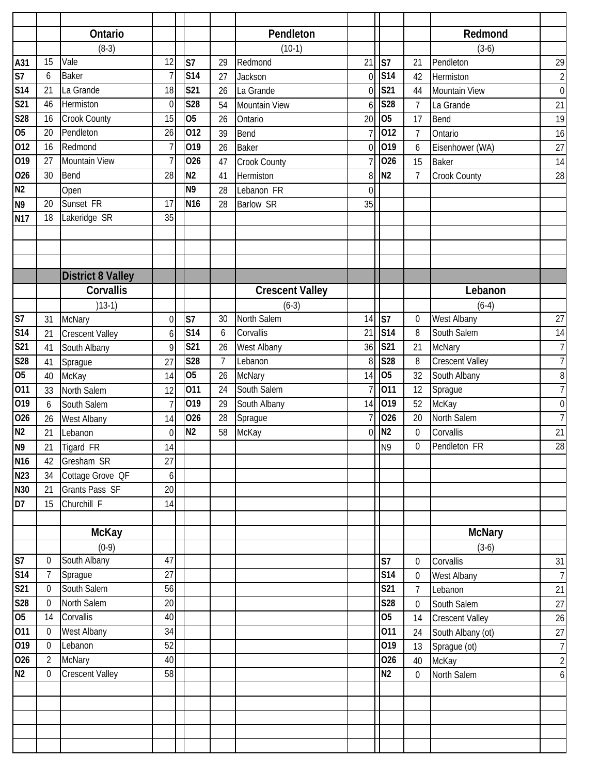|                          |                  | Ontario                  |                  |                 |                | Pendleton              |                |                 |                  | Redmond                |                  |
|--------------------------|------------------|--------------------------|------------------|-----------------|----------------|------------------------|----------------|-----------------|------------------|------------------------|------------------|
|                          |                  | $(8-3)$                  |                  |                 |                | $(10-1)$               |                |                 |                  | $(3-6)$                |                  |
| A31                      | 15               | Vale                     | 12               | S <sub>7</sub>  | 29             | Redmond                | 21             | S7              | 21               | Pendleton              | 29               |
| $\overline{\mathsf{S}7}$ | 6                | <b>Baker</b>             | $\overline{1}$   | S <sub>14</sub> | 27             | Jackson                | $\overline{0}$ | <b>S14</b>      | 42               | Hermiston              | $\overline{2}$   |
| S14                      | 21               | La Grande                | 18               | S21             | 26             | La Grande              | $\overline{0}$ | S21             | 44               | <b>Mountain View</b>   | $\overline{0}$   |
| S <sub>21</sub>          | 46               | Hermiston                | $\mathbf{0}$     | S28             | 54             | Mountain View          | $6 \mid$       | S <sub>28</sub> | $\overline{7}$   | La Grande              | 21               |
| S28                      | 16               | Crook County             | 15               | 05              | 26             | Ontario                | 20             | 05              | 17               | Bend                   | 19               |
| 05                       | 20               | Pendleton                | 26               | 012             | 39             | Bend                   | 7 <sup>1</sup> | 012             | $\overline{7}$   | Ontario                | 16               |
| 012                      | 16               | Redmond                  | $\overline{7}$   | 019             | 26             | <b>Baker</b>           | $\overline{0}$ | 019             | 6                | Eisenhower (WA)        | 27               |
| 019                      | 27               | Mountain View            | $\overline{7}$   | 026             | 47             | Crook County           |                | 026             | 15               | <b>Baker</b>           | 14               |
| 026                      | 30               | <b>Bend</b>              | 28               | N <sub>2</sub>  | 41             | Hermiston              | 8 <sup>1</sup> | N <sub>2</sub>  | $\overline{7}$   | <b>Crook County</b>    | 28               |
| N <sub>2</sub>           |                  | Open                     |                  | N9              | 28             | Lebanon FR             | $\overline{0}$ |                 |                  |                        |                  |
| N <sub>9</sub>           | 20               | Sunset FR                | 17               | N <sub>16</sub> | 28             | <b>Barlow SR</b>       | 35             |                 |                  |                        |                  |
| <b>N17</b>               | 18               | Lakeridge SR             | 35               |                 |                |                        |                |                 |                  |                        |                  |
|                          |                  |                          |                  |                 |                |                        |                |                 |                  |                        |                  |
|                          |                  |                          |                  |                 |                |                        |                |                 |                  |                        |                  |
|                          |                  |                          |                  |                 |                |                        |                |                 |                  |                        |                  |
|                          |                  | <b>District 8 Valley</b> |                  |                 |                |                        |                |                 |                  |                        |                  |
|                          |                  | <b>Corvallis</b>         |                  |                 |                | <b>Crescent Valley</b> |                |                 |                  | Lebanon                |                  |
|                          |                  | $(13-1)$                 |                  |                 |                | $(6-3)$                |                |                 |                  | $(6-4)$                |                  |
| S <sub>7</sub>           | 31               | McNary                   | $\boldsymbol{0}$ | S <sub>7</sub>  | 30             | North Salem            | 14             | S7              | 0                | <b>West Albany</b>     | 27               |
| <b>S14</b>               | 21               | <b>Crescent Valley</b>   | 6                | S <sub>14</sub> | 6              | Corvallis              | 21             | S <sub>14</sub> | $\, 8$           | South Salem            | $\overline{14}$  |
| S <sub>21</sub>          | 41               | South Albany             | 9                | S <sub>21</sub> | 26             | West Albany            | 36             | S21             | 21               | <b>McNary</b>          | 7 <sup>1</sup>   |
| S28                      | 41               | Sprague                  | 27               | S28             | $\overline{7}$ | Lebanon                | 8 <sup>1</sup> | S28             | 8                | <b>Crescent Valley</b> | $\overline{7}$   |
| 05                       | 40               | McKay                    | 14               | $\overline{05}$ | 26             | McNary                 | 14             | 05              | 32               | South Albany           | $\,8\,$          |
| 011                      | 33               | North Salem              | 12               | 011             | 24             | South Salem            |                | 011             | 12               | Sprague                | $7\vert$         |
| 019                      | 6                | South Salem              | $\overline{7}$   | 019             | 29             | South Albany           | 14             | 019             | 52               | McKay                  | $\boldsymbol{0}$ |
| 026                      | 26               | West Albany              | 14               | 026             | 28             | Sprague                | 71             | 026             | 20               | North Salem            | $\overline{7}$   |
| N <sub>2</sub>           | 21               | Lebanon                  | $\mathbf 0$      | N <sub>2</sub>  | 58             | McKay                  | $\overline{0}$ | N <sub>2</sub>  | $\boldsymbol{0}$ | Corvallis              | 21               |
| N <sub>9</sub>           | 21               | Tigard FR                | 14               |                 |                |                        |                | N <sub>9</sub>  | 0                | Pendleton FR           | 28               |
| $\overline{N16}$         | 42               | Gresham SR               | 27               |                 |                |                        |                |                 |                  |                        |                  |
| N23                      | 34               | Cottage Grove OF         | 6                |                 |                |                        |                |                 |                  |                        |                  |
| <b>N30</b>               | 21               | <b>Grants Pass SF</b>    | 20               |                 |                |                        |                |                 |                  |                        |                  |
| D7                       | 15               | Churchill F              | 14               |                 |                |                        |                |                 |                  |                        |                  |
|                          |                  |                          |                  |                 |                |                        |                |                 |                  |                        |                  |
|                          |                  | <b>McKay</b>             |                  |                 |                |                        |                |                 |                  | <b>McNary</b>          |                  |
|                          |                  | $(0-9)$                  |                  |                 |                |                        |                |                 |                  | $(3-6)$                |                  |
| S <sub>7</sub>           | $\boldsymbol{0}$ | South Albany             | 47               |                 |                |                        |                | S7              | 0                | Corvallis              | 31               |
| S <sub>14</sub>          | $\overline{7}$   | Sprague                  | $\overline{27}$  |                 |                |                        |                | S14             | $\mathbf 0$      | West Albany            | $\overline{7}$   |
| S21                      | $\overline{0}$   | South Salem              | 56               |                 |                |                        |                | S21             | 7                | Lebanon                | 21               |
| S28                      | $\mathbf 0$      | North Salem              | 20               |                 |                |                        |                | S28             | $\mathbf 0$      | South Salem            | 27               |
| 05                       | 14               | Corvallis                | 40               |                 |                |                        |                | 05              | 14               | <b>Crescent Valley</b> | 26               |
| 011                      | $\overline{0}$   | West Albany              | 34               |                 |                |                        |                | 011             | 24               | South Albany (ot)      | 27               |
| 019                      | $\overline{0}$   | Lebanon                  | 52               |                 |                |                        |                | 019             | 13               | Sprague (ot)           | $\overline{7}$   |
| 026                      | $\overline{2}$   | <b>McNary</b>            | 40               |                 |                |                        |                | 026             | 40               | McKay                  | $\overline{2}$   |
| N <sub>2</sub>           | $\overline{0}$   | <b>Crescent Valley</b>   | 58               |                 |                |                        |                | N <sub>2</sub>  | 0                | North Salem            | $6 \mid$         |
|                          |                  |                          |                  |                 |                |                        |                |                 |                  |                        |                  |
|                          |                  |                          |                  |                 |                |                        |                |                 |                  |                        |                  |
|                          |                  |                          |                  |                 |                |                        |                |                 |                  |                        |                  |
|                          |                  |                          |                  |                 |                |                        |                |                 |                  |                        |                  |
|                          |                  |                          |                  |                 |                |                        |                |                 |                  |                        |                  |
|                          |                  |                          |                  |                 |                |                        |                |                 |                  |                        |                  |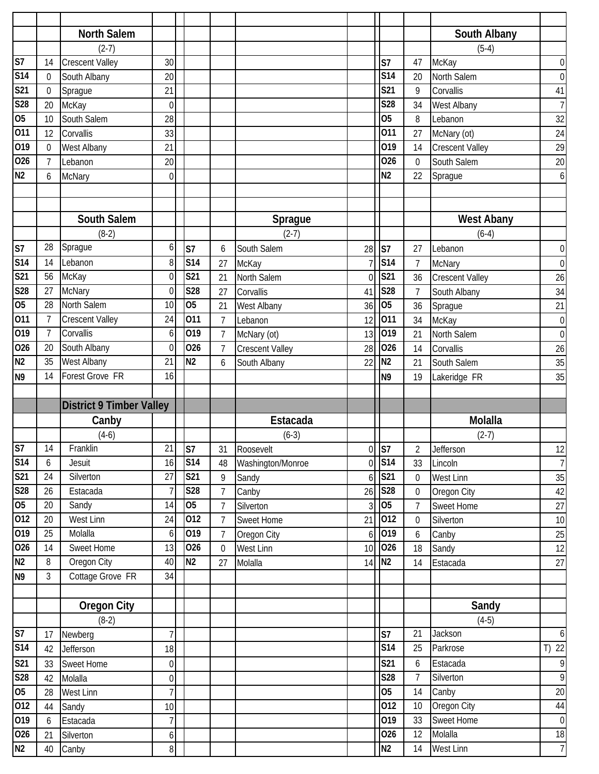| <b>North Salem</b><br>$(2-7)$<br>S <sub>7</sub><br><b>Crescent Valley</b><br>30<br>14 |                                        |                |                 |                | South Albany           |                        |
|---------------------------------------------------------------------------------------|----------------------------------------|----------------|-----------------|----------------|------------------------|------------------------|
|                                                                                       |                                        |                |                 |                |                        |                        |
|                                                                                       |                                        |                |                 |                | $(5-4)$                |                        |
|                                                                                       |                                        |                | S7              | 47             | McKay                  | $\boldsymbol{0}$       |
| <b>S14</b><br>20<br>South Albany<br>0                                                 |                                        |                | S <sub>14</sub> | 20             | North Salem            | $\mathbf 0$            |
| S <sub>21</sub><br>Sprague<br>21<br>$\boldsymbol{0}$                                  |                                        |                | S21             | 9              | Corvallis              | 41                     |
| S28<br>McKay<br>$\mathbf 0$<br>20                                                     |                                        |                | <b>S28</b>      | 34             | West Albany            | $\overline{7}$         |
| 05<br>South Salem<br>28<br>10                                                         |                                        |                | 05              | 8              | Lebanon                | 32                     |
| 011<br>33<br>12<br>Corvallis                                                          |                                        |                | 011             | 27             | McNary (ot)            | 24                     |
| 019<br>West Albany<br>21<br>0                                                         |                                        |                | 019             | 14             | <b>Crescent Valley</b> | 29                     |
| 026<br>$\overline{7}$<br>Lebanon<br>20                                                |                                        |                | 026             | $\overline{0}$ | South Salem            | $\overline{20}$        |
| N <sub>2</sub><br>McNary<br>$\overline{0}$<br>6                                       |                                        |                | N <sub>2</sub>  | 22             | Sprague                | $\boldsymbol{6}$       |
|                                                                                       |                                        |                |                 |                |                        |                        |
|                                                                                       |                                        |                |                 |                |                        |                        |
| South Salem                                                                           | Sprague                                |                |                 |                | <b>West Abany</b>      |                        |
| $(8-2)$                                                                               | $(2-7)$                                |                |                 |                | $(6-4)$                |                        |
| 28<br>Sprague<br>6<br>S7<br>S7<br>6                                                   | South Salem                            | 28             | S7              | 27             | Lebanon                | $\boldsymbol{0}$       |
| S <sub>14</sub><br>S14<br>8<br>14<br>Lebanon<br>27                                    | McKay                                  | $\overline{7}$ | <b>S14</b>      | $\overline{7}$ | <b>McNary</b>          | $\boldsymbol{0}$       |
| S <sub>21</sub><br>$\overline{S21}$<br>McKay<br>56<br>0<br>21                         | North Salem                            | $\overline{0}$ | S <sub>21</sub> | 36             | <b>Crescent Valley</b> | 26                     |
|                                                                                       | Corvallis                              | 41             | S28             | $\overline{7}$ | South Albany           | 34                     |
| S28<br><b>McNary</b><br>S28<br>27<br>0<br>27                                          |                                        |                | 05              | 36             | Sprague                | 21                     |
| 05<br>North Salem<br>05<br>28<br>10<br>21                                             | West Albany                            | 36             |                 |                |                        |                        |
| 011<br><b>Crescent Valley</b><br>011<br>24<br>$\overline{7}$<br>$\overline{1}$        | Lebanon                                | 12             | 011             | 34             | McKay                  | $\mathbf{0}$           |
| 019<br>Corvallis<br>019<br>7<br>6<br>$\overline{7}$                                   |                                        | 13             | 019             | 21             | North Salem            | $\boldsymbol{0}$       |
| 026<br>026<br>South Albany<br>20<br>$\mathbf 0$<br>$\overline{7}$                     | McNary (ot)                            | 28             | 026             | 14             | Corvallis              |                        |
| N <sub>2</sub><br>West Albany<br>21<br>35<br>N <sub>2</sub><br>6                      | <b>Crescent Valley</b><br>South Albany | 22             | N <sub>2</sub>  | 21             | South Salem            | 26                     |
| Forest Grove FR<br>14<br>16                                                           |                                        |                | N <sub>9</sub>  | 19             |                        | 35<br>35               |
| N <sub>9</sub>                                                                        |                                        |                |                 |                | Lakeridge FR           |                        |
| <b>District 9 Timber Valley</b>                                                       |                                        |                |                 |                |                        |                        |
|                                                                                       | Estacada                               |                |                 |                | Molalla                |                        |
| Canby<br>$(4-6)$                                                                      | $(6-3)$                                |                |                 |                | $(2-7)$                |                        |
| S <sub>7</sub><br>S7<br>14<br>Franklin<br>21<br>31                                    | Roosevelt                              |                | $0$ S7          | $\sqrt{2}$     | Jefferson              | 12                     |
| S <sub>14</sub><br><b>S14</b><br>Jesuit<br>16<br>6<br>48                              | Washington/Monroe                      | $\overline{0}$ | S14             | 33             | Lincoln                | $\overline{7}$         |
| S <sub>21</sub><br>27<br>S21<br>Silverton<br>24<br>9                                  | Sandy                                  | 6              | S21             | $\Omega$       | West Linn              | 35                     |
| S <sub>28</sub><br>S28<br>Estacada<br>$\overline{7}$<br>26<br>$\overline{7}$          | Canby                                  | 26             | S28             | $\mathbf 0$    | Oregon City            | 42                     |
| 05<br>05<br>20<br>Sandy<br>14<br>$\overline{7}$                                       | Silverton                              | 3 <sup>1</sup> | 05              | $\overline{7}$ | Sweet Home             | 27                     |
| 012<br>West Linn<br>24<br>012<br>20<br>$\overline{7}$                                 | <b>Sweet Home</b>                      | 21             | 012             | $\theta$       | Silverton              | 10                     |
| 019<br>Molalla<br>019<br>25<br>6<br>$\overline{7}$                                    | Oregon City                            | $6 \mid$       | 019             | 6              | Canby                  | 25                     |
| 026<br><b>Sweet Home</b><br>13<br>026<br>14<br>$\boldsymbol{0}$                       | West Linn                              | 10             | 026             | 18             | Sandy                  | 12                     |
| Oregon City<br>N <sub>2</sub><br>40<br>8<br>27                                        | Molalla                                | 14             | N <sub>2</sub>  | 14             | Estacada               | 27                     |
| Cottage Grove FR<br>$\mathfrak{Z}$<br>34                                              |                                        |                |                 |                |                        |                        |
| N <sub>2</sub><br>N <sub>9</sub>                                                      |                                        |                |                 |                |                        |                        |
|                                                                                       |                                        |                |                 |                | Sandy                  |                        |
| <b>Oregon City</b><br>$(8-2)$                                                         |                                        |                |                 |                | $(4-5)$                |                        |
| S <sub>7</sub><br>$\overline{7}$<br>Newberg<br>17                                     |                                        |                | S7              | 21             | Jackson                | $\boldsymbol{6}$       |
| S14<br>18<br>Jefferson<br>42                                                          |                                        |                | <b>S14</b>      | 25             | Parkrose               | $T)$ 22                |
| S21<br>33<br>$\overline{0}$                                                           |                                        |                | S21             | 6              | Estacada               | $\boldsymbol{9}$       |
| <b>Sweet Home</b><br>S28<br>Molalla<br>$\boldsymbol{0}$<br>42                         |                                        |                | S28             | $\overline{7}$ | Silverton              | 9                      |
| 05<br>$\overline{1}$<br>28<br>West Linn                                               |                                        |                | 05              | 14             | Canby                  | 20                     |
| 10<br>44                                                                              |                                        |                | 012             | 10             | Oregon City            |                        |
| 012<br>Sandy<br>019<br>$\overline{7}$<br>6                                            |                                        |                | 019             | 33             | <b>Sweet Home</b>      | 44<br>$\boldsymbol{0}$ |
| Estacada<br>026<br>21<br>Silverton<br>$\boldsymbol{6}$                                |                                        |                | 026             | 12             | Molalla                | 18                     |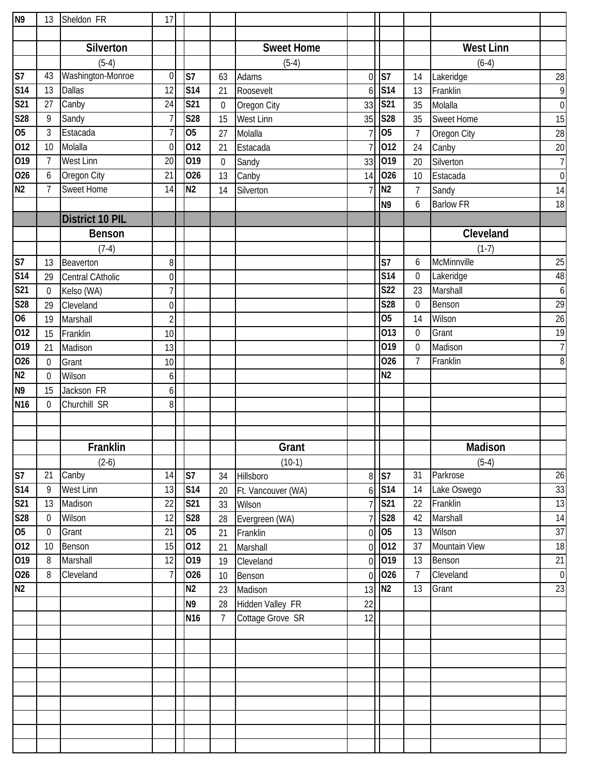| N <sub>9</sub>           | 13               | Sheldon FR             | 17               |                 |                  |                    |                |                 |                  |                      |                  |
|--------------------------|------------------|------------------------|------------------|-----------------|------------------|--------------------|----------------|-----------------|------------------|----------------------|------------------|
|                          |                  |                        |                  |                 |                  |                    |                |                 |                  |                      |                  |
|                          |                  | Silverton              |                  |                 |                  | <b>Sweet Home</b>  |                |                 |                  | <b>West Linn</b>     |                  |
|                          |                  | $(5-4)$                |                  |                 |                  | $(5-4)$            |                |                 |                  | $(6-4)$              |                  |
| S <sub>7</sub>           | 43               | Washington-Monroe      | $\boldsymbol{0}$ | S7              | 63               | Adams              | $\overline{0}$ | S7              | 14               | Lakeridge            | 28               |
| <b>S14</b>               | 13               | <b>Dallas</b>          | 12               | <b>S14</b>      | 21               | Roosevelt          | 6              | <b>S14</b>      | 13               | Franklin             | $\mathbf{9}$     |
| S21                      | 27               | Canby                  | 24               | S <sub>21</sub> | $\mathbf 0$      | Oregon City        | 33             | S21             | 35               | Molalla              | $\overline{0}$   |
| S28                      | 9                | Sandy                  | $\overline{1}$   | S28             | 15               | West Linn          | 35             | S28             | 35               | <b>Sweet Home</b>    | 15               |
| 05                       | $\mathfrak{Z}$   | Estacada               | $\overline{1}$   | $\overline{05}$ | 27               | Molalla            | 7 <sup>1</sup> | 05              | $\overline{7}$   | Oregon City          | 28               |
| 012                      | 10               | Molalla                | 0                | 012             | 21               | Estacada           | 7              | 012             | 24               | Canby                | 20               |
| 019                      | $\overline{7}$   | West Linn              | 20               | 019             | $\boldsymbol{0}$ | Sandy              | 33             | 019             | 20               | Silverton            | 7 <sup>1</sup>   |
| 026                      | 6                | Oregon City            | 21               | 026             | 13               | Canby              | 14             | 026             | 10               | Estacada             | $\mathbf 0$      |
| N <sub>2</sub>           | $\overline{7}$   | Sweet Home             | 14               | N <sub>2</sub>  | 14               | Silverton          |                | N <sub>2</sub>  | $\overline{1}$   | Sandy                | 14               |
|                          |                  |                        |                  |                 |                  |                    |                | N <sub>9</sub>  | 6                | <b>Barlow FR</b>     | 18               |
|                          |                  | <b>District 10 PIL</b> |                  |                 |                  |                    |                |                 |                  |                      |                  |
|                          |                  | <b>Benson</b>          |                  |                 |                  |                    |                |                 |                  | Cleveland            |                  |
|                          |                  | $(7-4)$                |                  |                 |                  |                    |                |                 |                  | $(1-7)$              |                  |
| $\overline{\mathsf{S}7}$ | 13               | Beaverton              | 8                |                 |                  |                    |                | S7              | 6                | McMinnville          | 25               |
| <b>S14</b>               | 29               | Central CAtholic       | $\mathbf 0$      |                 |                  |                    |                | <b>S14</b>      | $\boldsymbol{0}$ | Lakeridge            | 48               |
| <b>S21</b>               | $\overline{0}$   | Kelso (WA)             | $\overline{1}$   |                 |                  |                    |                | <b>S22</b>      | 23               | Marshall             | $6 \mid$         |
| S28                      | 29               | Cleveland              | $\mathbf 0$      |                 |                  |                    |                | S28             | $\boldsymbol{0}$ | Benson               | 29               |
| <b>O6</b>                | 19               | Marshall               | $\overline{2}$   |                 |                  |                    |                | O <sub>5</sub>  | 14               | Wilson               | 26               |
| 012                      | 15               | Franklin               | 10               |                 |                  |                    |                | 013             | $\mathbf 0$      | Grant                | $\overline{19}$  |
| 019                      | 21               | Madison                | 13               |                 |                  |                    |                | 019             | $\mathbf 0$      | Madison              | 7 <sup>1</sup>   |
| 026                      | $\mathbf 0$      | Grant                  | 10               |                 |                  |                    |                | 026             | 7                | Franklin             | $\boldsymbol{8}$ |
| N <sub>2</sub>           | $\mathbf 0$      | Wilson                 | 6                |                 |                  |                    |                | N <sub>2</sub>  |                  |                      |                  |
| N <sub>9</sub>           | 15               | Jackson FR             | 6                |                 |                  |                    |                |                 |                  |                      |                  |
| N <sub>16</sub>          | $\mathbf 0$      | Churchill SR           | 8                |                 |                  |                    |                |                 |                  |                      |                  |
|                          |                  |                        |                  |                 |                  |                    |                |                 |                  |                      |                  |
|                          |                  |                        |                  |                 |                  |                    |                |                 |                  |                      |                  |
|                          |                  | Franklin               |                  |                 |                  | Grant              |                |                 |                  | Madison              |                  |
|                          |                  | $(2-6)$                |                  |                 |                  | $(10-1)$           |                |                 |                  | $(5-4)$              |                  |
| S <sub>7</sub>           | 21               | Canby                  | 14               | S <sub>7</sub>  | 34               | Hillsboro          | 8 <sup>1</sup> | S7              | 31               | Parkrose             | 26               |
| <b>S14</b>               | 9                | West Linn              | 13               | S14             | 20               | Ft. Vancouver (WA) | $6 \mid$       | S <sub>14</sub> | 14               | Lake Oswego          | 33               |
| S <sub>21</sub>          | 13               | Madison                | 22               | S <sub>21</sub> | 33               | Wilson             | 7 <sup>1</sup> | S <sub>21</sub> | 22               | Franklin             | 13               |
| S28                      | $\mathbf 0$      | Wilson                 | 12               | S28             | 28               | Evergreen (WA)     | 7              | S28             | 42               | Marshall             | 14               |
| 05                       | $\boldsymbol{0}$ | Grant                  | 21               | 05              | 21               | Franklin           | $\overline{0}$ | 05              | 13               | Wilson               | $\overline{37}$  |
| 012                      | 10               | Benson                 | 15               | 012             | 21               | Marshall           | $\overline{0}$ | 012             | 37               | <b>Mountain View</b> | 18               |
| 019                      | 8                | Marshall               | 12               | 019             | 19               | Cleveland          | $\overline{0}$ | 019             | 13               | Benson               | 21               |
| 026                      | 8                | Cleveland              | $\overline{1}$   | 026             | 10               | Benson             | 0              | 026             | $\overline{7}$   | Cleveland            | $\overline{0}$   |
| N <sub>2</sub>           |                  |                        |                  | N <sub>2</sub>  | 23               | Madison            | 13             | N <sub>2</sub>  | 13               | Grant                | 23               |
|                          |                  |                        |                  | N <sub>9</sub>  | 28               | Hidden Valley FR   | 22             |                 |                  |                      |                  |
|                          |                  |                        |                  | N <sub>16</sub> | $\overline{7}$   | Cottage Grove SR   | 12             |                 |                  |                      |                  |
|                          |                  |                        |                  |                 |                  |                    |                |                 |                  |                      |                  |
|                          |                  |                        |                  |                 |                  |                    |                |                 |                  |                      |                  |
|                          |                  |                        |                  |                 |                  |                    |                |                 |                  |                      |                  |
|                          |                  |                        |                  |                 |                  |                    |                |                 |                  |                      |                  |
|                          |                  |                        |                  |                 |                  |                    |                |                 |                  |                      |                  |
|                          |                  |                        |                  |                 |                  |                    |                |                 |                  |                      |                  |
|                          |                  |                        |                  |                 |                  |                    |                |                 |                  |                      |                  |
|                          |                  |                        |                  |                 |                  |                    |                |                 |                  |                      |                  |
|                          |                  |                        |                  |                 |                  |                    |                |                 |                  |                      |                  |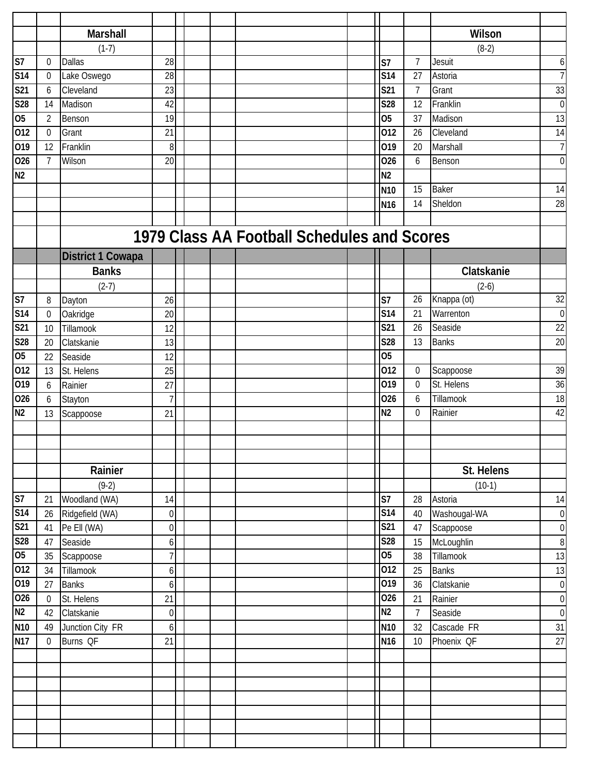|                          |                  | <b>Marshall</b>          |                  |  |                                             |                 |                  | Wilson       |                  |
|--------------------------|------------------|--------------------------|------------------|--|---------------------------------------------|-----------------|------------------|--------------|------------------|
|                          |                  | $(1-7)$                  |                  |  |                                             |                 |                  | $(8-2)$      |                  |
| S <sub>7</sub>           | $\overline{0}$   | <b>Dallas</b>            | 28               |  |                                             | S7              | 7                | Jesuit       | 6                |
| S14                      | $\boldsymbol{0}$ | Lake Oswego              | 28               |  |                                             | <b>S14</b>      | 27               | Astoria      | $\overline{7}$   |
| $\overline{S21}$         | 6                | Cleveland                | 23               |  |                                             | S21             | 7                | Grant        | 33               |
| $\overline{\text{S}}$ 28 | 14               | Madison                  | 42               |  |                                             | S28             | 12               | Franklin     | $\boldsymbol{0}$ |
| 05                       | $\overline{2}$   | Benson                   | 19               |  |                                             | 05              | 37               | Madison      | 13               |
| 012                      | $\mathbf 0$      | Grant                    | 21               |  |                                             | 012             | 26               | Cleveland    | 14               |
| 019                      | 12               | Franklin                 | 8                |  |                                             | 019             | 20               | Marshall     | $\overline{7}$   |
| 026                      | $\overline{7}$   | Wilson                   | 20               |  |                                             | 026             | 6                | Benson       | $\overline{0}$   |
| N <sub>2</sub>           |                  |                          |                  |  |                                             | N <sub>2</sub>  |                  |              |                  |
|                          |                  |                          |                  |  |                                             | <b>N10</b>      | 15               | Baker        | 14               |
|                          |                  |                          |                  |  |                                             | N <sub>16</sub> | 14               | Sheldon      | 28               |
|                          |                  |                          |                  |  |                                             |                 |                  |              |                  |
|                          |                  |                          |                  |  | 1979 Class AA Football Schedules and Scores |                 |                  |              |                  |
|                          |                  |                          |                  |  |                                             |                 |                  |              |                  |
|                          |                  | <b>District 1 Cowapa</b> |                  |  |                                             |                 |                  |              |                  |
|                          |                  | <b>Banks</b>             |                  |  |                                             |                 |                  | Clatskanie   |                  |
|                          |                  | $(2-7)$                  |                  |  |                                             |                 |                  | $(2-6)$      |                  |
| S <sub>7</sub>           | 8                | Dayton                   | 26               |  |                                             | S7              | 26               | Knappa (ot)  | 32               |
| S14                      | 0                | Oakridge                 | 20               |  |                                             | <b>S14</b>      | 21               | Warrenton    | $\boldsymbol{0}$ |
| $\overline{\text{S21}}$  | 10               | Tillamook                | 12               |  |                                             | <b>S21</b>      | 26               | Seaside      | $\overline{22}$  |
| S <sub>28</sub>          | 20               | Clatskanie               | 13               |  |                                             | S28             | 13               | <b>Banks</b> | 20               |
| 05                       | 22               | Seaside                  | 12               |  |                                             | 05              |                  |              |                  |
| 012                      | 13               | St. Helens               | 25               |  |                                             | 012             | $\boldsymbol{0}$ | Scappoose    | 39               |
| 019                      | 6                | Rainier                  | 27               |  |                                             | 019             | $\mathbf 0$      | St. Helens   | 36               |
| 026                      | 6                | Stayton                  | $\overline{7}$   |  |                                             | 026             | 6                | Tillamook    | 18               |
| N <sub>2</sub>           | 13               | Scappoose                | 21               |  |                                             | N <sub>2</sub>  | $\mathbf 0$      | Rainier      | 42               |
|                          |                  |                          |                  |  |                                             |                 |                  |              |                  |
|                          |                  |                          |                  |  |                                             |                 |                  |              |                  |
|                          |                  |                          |                  |  |                                             |                 |                  |              |                  |
|                          |                  | Rainier                  |                  |  |                                             |                 |                  | St. Helens   |                  |
|                          |                  | $(9-2)$                  |                  |  |                                             |                 |                  | $(10-1)$     |                  |
| S <sub>7</sub>           | 21               | Woodland (WA)            | 14               |  |                                             | S7              | 28               | Astoria      | 14               |
| S14                      | 26               | Ridgefield (WA)          | $\boldsymbol{0}$ |  |                                             | <b>S14</b>      | 40               | Washougal-WA | $\vert 0 \vert$  |
| S <sub>21</sub>          | 41               | Pe Ell (WA)              | $\boldsymbol{0}$ |  |                                             | S21             | 47               | Scappoose    | $\boldsymbol{0}$ |
| S28                      | 47               | Seaside                  | 6                |  |                                             | S28             | 15               | McLoughlin   | $\, 8$           |
| 05                       | 35               | Scappoose                | $\overline{7}$   |  |                                             | 05              | 38               | Tillamook    | 13               |
| 012                      | 34               | Tillamook                | 6                |  |                                             | 012             | 25               | <b>Banks</b> | 13               |
| 019                      | 27               | <b>Banks</b>             | 6                |  |                                             | 019             | 36               | Clatskanie   | $\boldsymbol{0}$ |
| 026                      | $\overline{0}$   | St. Helens               | 21               |  |                                             | 026             | 21               | Rainier      | $\vert 0 \vert$  |
| N <sub>2</sub>           | 42               | Clatskanie               | 0                |  |                                             | N <sub>2</sub>  | 7                | Seaside      | $\boldsymbol{0}$ |
| N10                      | 49               | Junction City FR         | 6                |  |                                             | N <sub>10</sub> | 32               | Cascade FR   | 31               |
| <b>N17</b>               | $\overline{0}$   | Burns QF                 | 21               |  |                                             | N <sub>16</sub> | 10               | Phoenix QF   | 27               |
|                          |                  |                          |                  |  |                                             |                 |                  |              |                  |
|                          |                  |                          |                  |  |                                             |                 |                  |              |                  |
|                          |                  |                          |                  |  |                                             |                 |                  |              |                  |
|                          |                  |                          |                  |  |                                             |                 |                  |              |                  |
|                          |                  |                          |                  |  |                                             |                 |                  |              |                  |
|                          |                  |                          |                  |  |                                             |                 |                  |              |                  |
|                          |                  |                          |                  |  |                                             |                 |                  |              |                  |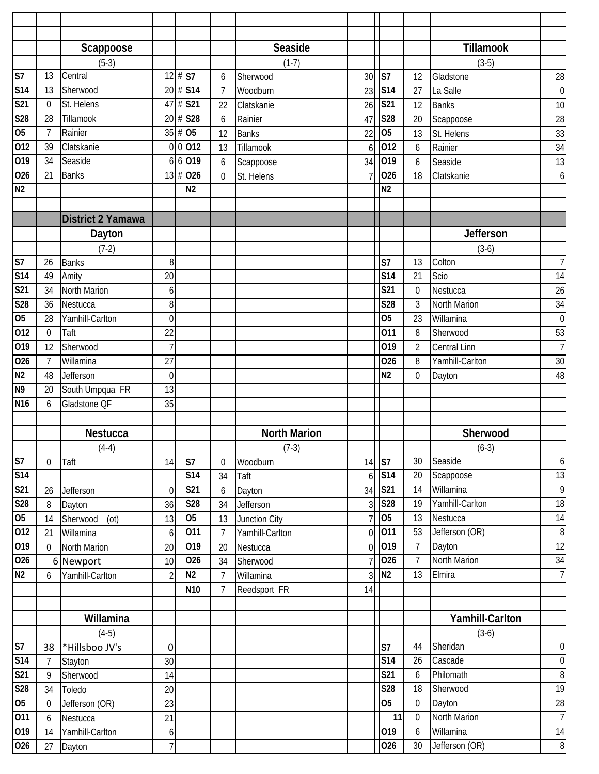|                          |                  | Scappoose           |                |                 |                | Seaside             |                |                 |                | <b>Tillamook</b>    |                          |
|--------------------------|------------------|---------------------|----------------|-----------------|----------------|---------------------|----------------|-----------------|----------------|---------------------|--------------------------|
|                          |                  | $(5-3)$             |                |                 |                | $(1-7)$             |                |                 |                | $(3-5)$             |                          |
| S <sub>7</sub>           | 13               | Central             |                | $12 \# S7$      | 6              | Sherwood            | 30             | S7              | 12             | Gladstone           | 28                       |
| S <sub>14</sub>          | 13               | Sherwood            |                | 20 # S14        | $\overline{1}$ | Woodburn            | 23             | S <sub>14</sub> | 27             | La Salle            | $\boldsymbol{0}$         |
| S21                      | $\overline{0}$   | St. Helens          |                | 47 # S21        | 22             | Clatskanie          | 26             | S21             | 12             | <b>Banks</b>        | 10                       |
| S28                      | 28               | Tillamook           |                | 20 # S28        | 6              | Rainier             | 47             | S28             | 20             | Scappoose           | 28                       |
| 05                       | $\overline{7}$   | Rainier             |                | $35 \# 05$      | 12             | <b>Banks</b>        | 22             | 05              | 13             | St. Helens          | 33                       |
| 012                      | 39               | Clatskanie          |                | 0 0 012         | 13             | Tillamook           | 6              | 012             | 6              | Rainier             | 34                       |
| $\overline{0}19$         | 34               | Seaside             |                | 6 6 0 19        | 6              | Scappoose           | 34             | 019             | 6              | Seaside             | 13                       |
| 026                      | 21               | <b>Banks</b>        |                | $13 \# 026$     | $\mathbf 0$    | St. Helens          | $\overline{7}$ | 026             | 18             | Clatskanie          | $6 \mid$                 |
| N <sub>2</sub>           |                  |                     |                | N <sub>2</sub>  |                |                     |                | N <sub>2</sub>  |                |                     |                          |
|                          |                  |                     |                |                 |                |                     |                |                 |                |                     |                          |
|                          |                  | District 2 Yamawa   |                |                 |                |                     |                |                 |                |                     |                          |
|                          |                  | Dayton              |                |                 |                |                     |                |                 |                | <b>Jefferson</b>    |                          |
|                          |                  | $(7-2)$             |                |                 |                |                     |                |                 |                | $(3-6)$             |                          |
| $\overline{\mathsf{S}7}$ | 26               | <b>Banks</b>        | 8              |                 |                |                     |                | S7              | 13             | Colton              | $\overline{\mathcal{L}}$ |
| <b>S14</b>               | 49               | Amity               | 20             |                 |                |                     |                | <b>S14</b>      | 21             | <b>Scio</b>         | 14                       |
| S <sub>21</sub>          | 34               | <b>North Marion</b> | 6              |                 |                |                     |                | S21             | $\mathbf 0$    | Nestucca            | 26                       |
| S28                      | 36               | Nestucca            | 8              |                 |                |                     |                | S28             | 3              | <b>North Marion</b> | 34                       |
| 05                       | 28               | Yamhill-Carlton     | $\mathbf 0$    |                 |                |                     |                | 05              | 23             | Willamina           | $\overline{0}$           |
| 012                      | $\boldsymbol{0}$ | Taft                | 22             |                 |                |                     |                | 011             | 8              | Sherwood            | 53                       |
| 019                      | 12               | Sherwood            | 7              |                 |                |                     |                | 019             | $\overline{2}$ | <b>Central Linn</b> | 7 <sup>1</sup>           |
| 026                      | $\overline{7}$   | Willamina           | 27             |                 |                |                     |                | 026             | 8              | Yamhill-Carlton     | $\overline{30}$          |
| N <sub>2</sub>           | 48               | Jefferson           | $\mathbf 0$    |                 |                |                     |                | N <sub>2</sub>  | $\mathbf 0$    | Dayton              | 48                       |
| N <sub>9</sub>           | 20               | South Umpqua FR     | 13             |                 |                |                     |                |                 |                |                     |                          |
| <b>N16</b>               | 6                | Gladstone QF        | 35             |                 |                |                     |                |                 |                |                     |                          |
|                          |                  |                     |                |                 |                |                     |                |                 |                |                     |                          |
|                          |                  | Nestucca            |                |                 |                | <b>North Marion</b> |                |                 |                | Sherwood            |                          |
|                          |                  | $(4-4)$             |                |                 |                | $(7-3)$             |                |                 |                | $(6-3)$             |                          |
| S <sub>7</sub>           | $\boldsymbol{0}$ | Taft                | 14             | S7              | $\mathbf 0$    | Woodburn            | 14             | S7              | 30             | Seaside             | $6 \mid$                 |
| S14                      |                  |                     |                | S <sub>14</sub> | 34             | Taft                | 6              | S <sub>14</sub> | 20             | Scappoose           | 13                       |
| S21                      | 26               | Jefferson           | 0              | S21             | 6              | Dayton              | 34             | S21             | 14             | Willamina           | 9                        |
| $\overline{\text{S28}}$  | 8                | Dayton              | 36             | S28             | 34             | Jefferson           | 3 <sup>1</sup> | S28             | 19             | Yamhill-Carlton     | 18                       |
| 05                       | 14               | Sherwood<br>(ot)    | 13             | 05              | 13             | Junction City       | $\overline{7}$ | 05              | 13             | Nestucca            | 14                       |
| 012                      | 21               | Willamina           | 6              | 011             | $\overline{7}$ | Yamhill-Carlton     | $\overline{0}$ | 011             | 53             | Jefferson (OR)      | $\,8\,$                  |
| 019                      | $\overline{0}$   | North Marion        | 20             | 019             | 20             | Nestucca            | $\overline{0}$ | 019             | $\overline{7}$ | Dayton              | 12                       |
| 026                      |                  | 6 Newport           | 10             | 026             | 34             | Sherwood            | 7              | 026             | $\overline{7}$ | North Marion        | 34                       |
| N <sub>2</sub>           | 6                | Yamhill-Carlton     | $\overline{2}$ | N <sub>2</sub>  | $\overline{7}$ | Willamina           | 3              | N <sub>2</sub>  | 13             | Elmira              | 7                        |
|                          |                  |                     |                | N <sub>10</sub> | $\overline{7}$ | Reedsport FR        | 14             |                 |                |                     |                          |
|                          |                  |                     |                |                 |                |                     |                |                 |                |                     |                          |
|                          |                  | Willamina           |                |                 |                |                     |                |                 |                | Yamhill-Carlton     |                          |
|                          |                  | $(4-5)$             |                |                 |                |                     |                |                 |                | $(3-6)$             |                          |
| S <sub>7</sub>           | 38               | *Hillsboo JV's      | 0              |                 |                |                     |                | S7              | 44             | Sheridan            | $\overline{0}$           |
| S <sub>14</sub>          | 7                | Stayton             | 30             |                 |                |                     |                | <b>S14</b>      | 26             | Cascade             | $\overline{0}$           |
| S <sub>21</sub>          | 9                | Sherwood            | 14             |                 |                |                     |                | S21             | 6              | Philomath           | $\boldsymbol{8}$         |
| <b>S28</b>               | 34               | Toledo              | 20             |                 |                |                     |                | S28             | 18             | Sherwood            | 19                       |
| 05                       | 0                | Jefferson (OR)      | 23             |                 |                |                     |                | 05              | $\mathbf 0$    | Dayton              | 28                       |
| 011                      | 6                | Nestucca            | 21             |                 |                |                     |                | 11              | $\mathbf 0$    | North Marion        | 7                        |
| 019                      | 14               | Yamhill-Carlton     | 6              |                 |                |                     |                | 019             | 6              | Willamina           | 14                       |
| 026                      | 27               | Dayton              | $\overline{7}$ |                 |                |                     |                | 026             | 30             | Jefferson (OR)      | 8 <sup>0</sup>           |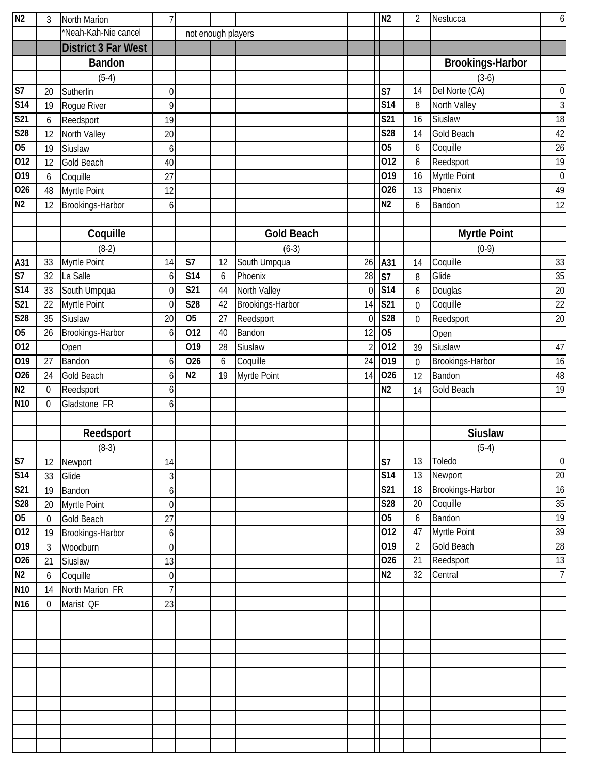| N <sub>2</sub>           | 3              | North Marion               | $\overline{7}$   |                         |                    |                   |                | N <sub>2</sub>  | $\overline{2}$  | Nestucca                | $6 \mid$         |
|--------------------------|----------------|----------------------------|------------------|-------------------------|--------------------|-------------------|----------------|-----------------|-----------------|-------------------------|------------------|
|                          |                | *Neah-Kah-Nie cancel       |                  |                         | not enough players |                   |                |                 |                 |                         |                  |
|                          |                | <b>District 3 Far West</b> |                  |                         |                    |                   |                |                 |                 |                         |                  |
|                          |                | <b>Bandon</b>              |                  |                         |                    |                   |                |                 |                 | <b>Brookings-Harbor</b> |                  |
|                          |                | $(5-4)$                    |                  |                         |                    |                   |                |                 |                 | $(3-6)$                 |                  |
| S7                       | 20             | Sutherlin                  | 0                |                         |                    |                   |                | S7              | 14              | Del Norte (CA)          | $\overline{0}$   |
| <b>S14</b>               | 19             | Rogue River                | 9                |                         |                    |                   |                | <b>S14</b>      | 8               | North Valley            | $\overline{3}$   |
| S <sub>21</sub>          | 6              | Reedsport                  | 19               |                         |                    |                   |                | S21             | 16              | Siuslaw                 | 18               |
| S28                      | 12             | North Valley               | 20               |                         |                    |                   |                | S28             | 14              | Gold Beach              | 42               |
| 05                       | 19             | Siuslaw                    | 6                |                         |                    |                   |                | 05              | 6               | Coquille                | 26               |
| 012                      | 12             | <b>Gold Beach</b>          | 40               |                         |                    |                   |                | 012             | 6               | Reedsport               | 19               |
| 019                      | 6              | Coquille                   | 27               |                         |                    |                   |                | 019             | 16              | Myrtle Point            | $\overline{0}$   |
| 026                      | 48             | Myrtle Point               | 12               |                         |                    |                   |                | 026             | 13              | Phoenix                 | 49               |
| N2                       | 12             | Brookings-Harbor           | 6                |                         |                    |                   |                | N <sub>2</sub>  | 6               | Bandon                  | 12               |
|                          |                |                            |                  |                         |                    |                   |                |                 |                 |                         |                  |
|                          |                | Coquille                   |                  |                         |                    | <b>Gold Beach</b> |                |                 |                 | <b>Myrtle Point</b>     |                  |
|                          |                | $(8-2)$                    |                  |                         |                    | $(6-3)$           |                |                 |                 | $(0-9)$                 |                  |
| A31                      | 33             | Myrtle Point               | 14               | S <sub>7</sub>          | 12                 | South Umpqua      | 26             | A31             | 14              | Coquille                | 33               |
| $\overline{\mathsf{S}7}$ | 32             | La Salle                   | 6                | $\overline{\text{S}14}$ | 6                  | Phoenix           | 28             | S7              | 8               | Glide                   | 35               |
| <b>S14</b>               | 33             | South Umpqua               | $\theta$         | $\overline{S21}$        | 44                 | North Valley      | $\Omega$       | S <sub>14</sub> | 6               | Douglas                 | $\overline{20}$  |
| S21                      | 22             | Myrtle Point               | $\mathbf{0}$     | <b>S28</b>              | 42                 | Brookings-Harbor  | 14             | S21             | $\overline{0}$  | Coquille                | 22               |
| <b>S28</b>               | 35             | Siuslaw                    | 20               | 05                      | 27                 | Reedsport         | $\theta$       | S28             | $\theta$        | Reedsport               | $\overline{20}$  |
| 05                       | 26             | Brookings-Harbor           | 6                | 012                     | 40                 | Bandon            | 12             | 05              |                 | Open                    |                  |
| $\overline{012}$         |                | Open                       |                  | $\overline{019}$        | 28                 | Siuslaw           | $\overline{2}$ | 012             | 39              | Siuslaw                 | 47               |
| 019                      | 27             | Bandon                     | 6                | 026                     | 6                  | Coquille          | 24             | 019             | 0               | Brookings-Harbor        | 16               |
| 026                      | 24             | <b>Gold Beach</b>          | 6                | N <sub>2</sub>          | 19                 | Myrtle Point      | 14             | 026             | 12              | Bandon                  | 48               |
| N <sub>2</sub>           | 0              | Reedsport                  | 6                |                         |                    |                   |                | N <sub>2</sub>  | 14              | Gold Beach              | 19               |
| N <sub>10</sub>          | $\mathbf 0$    | Gladstone FR               | 6                |                         |                    |                   |                |                 |                 |                         |                  |
|                          |                |                            |                  |                         |                    |                   |                |                 |                 |                         |                  |
|                          |                | Reedsport                  |                  |                         |                    |                   |                |                 |                 | <b>Siuslaw</b>          |                  |
|                          |                | $(8-3)$                    |                  |                         |                    |                   |                |                 |                 | $(5-4)$                 |                  |
| S <sub>7</sub>           | 12             | Newport                    | 14               |                         |                    |                   |                | S7              | 13              | Toledo                  | $\boldsymbol{0}$ |
| S <sub>14</sub>          | 33             | Glide                      | $\mathfrak{Z}$   |                         |                    |                   |                | S14             | $\overline{13}$ | Newport                 | 20               |
| <b>S21</b>               | 19             | Bandon                     | 6                |                         |                    |                   |                | S21             | 18              | Brookings-Harbor        | 16               |
| S <sub>28</sub>          | 20             | Myrtle Point               | $\boldsymbol{0}$ |                         |                    |                   |                | S28             | 20              | Coquille                | 35               |
| 05                       | 0              | <b>Gold Beach</b>          | 27               |                         |                    |                   |                | 05              | 6               | Bandon                  | 19               |
| 012                      | 19             | Brookings-Harbor           | 6                |                         |                    |                   |                | 012             | 47              | Myrtle Point            | 39               |
| 019                      | $\mathfrak{Z}$ | Woodburn                   | $\boldsymbol{0}$ |                         |                    |                   |                | 019             | $\overline{2}$  | <b>Gold Beach</b>       | 28               |
| 026                      | 21             | Siuslaw                    | 13               |                         |                    |                   |                | 026             | 21              | Reedsport               | 13               |
| $\overline{\mathsf{N2}}$ | 6              | Coquille                   | $\boldsymbol{0}$ |                         |                    |                   |                | N <sub>2</sub>  | $\overline{32}$ | Central                 | $\overline{7}$   |
| N <sub>10</sub>          | 14             | North Marion FR            | $\overline{7}$   |                         |                    |                   |                |                 |                 |                         |                  |
| N <sub>16</sub>          | $\overline{0}$ | Marist QF                  | 23               |                         |                    |                   |                |                 |                 |                         |                  |
|                          |                |                            |                  |                         |                    |                   |                |                 |                 |                         |                  |
|                          |                |                            |                  |                         |                    |                   |                |                 |                 |                         |                  |
|                          |                |                            |                  |                         |                    |                   |                |                 |                 |                         |                  |
|                          |                |                            |                  |                         |                    |                   |                |                 |                 |                         |                  |
|                          |                |                            |                  |                         |                    |                   |                |                 |                 |                         |                  |
|                          |                |                            |                  |                         |                    |                   |                |                 |                 |                         |                  |
|                          |                |                            |                  |                         |                    |                   |                |                 |                 |                         |                  |
|                          |                |                            |                  |                         |                    |                   |                |                 |                 |                         |                  |
|                          |                |                            |                  |                         |                    |                   |                |                 |                 |                         |                  |
|                          |                |                            |                  |                         |                    |                   |                |                 |                 |                         |                  |
|                          |                |                            |                  |                         |                    |                   |                |                 |                 |                         |                  |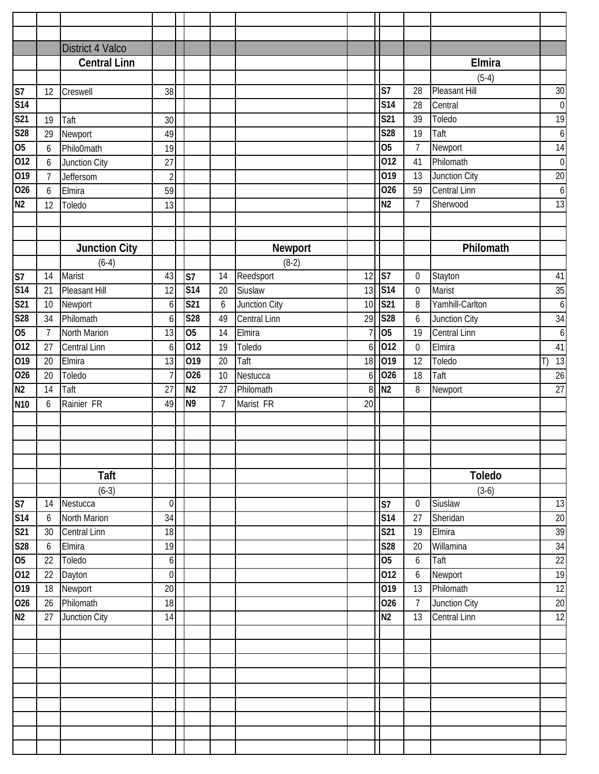|                 |                  | District 4 Valco     |                  |                 |                |                     |          |                          |                  |                      |                       |
|-----------------|------------------|----------------------|------------------|-----------------|----------------|---------------------|----------|--------------------------|------------------|----------------------|-----------------------|
|                 |                  | <b>Central Linn</b>  |                  |                 |                |                     |          |                          |                  | Elmira               |                       |
|                 |                  |                      |                  |                 |                |                     |          |                          |                  | $(5-4)$              |                       |
| S <sub>7</sub>  | 12               | Creswell             | 38               |                 |                |                     |          | S7                       | 28               | <b>Pleasant Hill</b> | $\overline{30}$       |
| S <sub>14</sub> |                  |                      |                  |                 |                |                     |          | <b>S14</b>               | 28               | Central              | $\boldsymbol{0}$      |
| S21             | 19               | Taft                 | 30               |                 |                |                     |          | $\overline{\text{S21}}$  | 39               | Toledo               | $\overline{19}$       |
| S28             | 29               | Newport              | 49               |                 |                |                     |          | <b>S28</b>               | 19               | Taft                 | $\boldsymbol{6}$      |
| 05              | 6                | Philo0math           | 19               |                 |                |                     |          | 05                       | $\overline{7}$   | Newport              | 14                    |
| 012             | 6                | Junction City        | 27               |                 |                |                     |          | 012                      | 41               | Philomath            | $\mathbf{0}$          |
| 019             | $\overline{7}$   | Jeffersom            | $\overline{2}$   |                 |                |                     |          | 019                      | 13               | <b>Junction City</b> | $\overline{20}$       |
| 026             | 6                | Elmira               | 59               |                 |                |                     |          | 026                      | 59               | <b>Central Linn</b>  | $\boldsymbol{6}$      |
| N <sub>2</sub>  | 12               | Toledo               | 13               |                 |                |                     |          | N <sub>2</sub>           | $\overline{7}$   | Sherwood             | 13                    |
|                 |                  |                      |                  |                 |                |                     |          |                          |                  |                      |                       |
|                 |                  |                      |                  |                 |                |                     |          |                          |                  |                      |                       |
|                 |                  | <b>Junction City</b> |                  |                 |                | Newport             |          |                          |                  | Philomath            |                       |
|                 |                  | $(6-4)$              |                  |                 |                | $(8-2)$             |          |                          |                  |                      |                       |
| S <sub>7</sub>  | 14               | Marist               | 43               | S7              | 14             | Reedsport           | 12       | $\overline{\mathsf{S}7}$ | $\boldsymbol{0}$ | Stayton              | 41                    |
| S <sub>14</sub> | 21               | <b>Pleasant Hill</b> | 12               | S <sub>14</sub> | 20             | Siuslaw             | 13       | S <sub>14</sub>          | $\boldsymbol{0}$ | Marist               | $\overline{35}$       |
| S21             | 10               | Newport              | 6                | S21             | 6              | Junction City       | 10       | S21                      | 8                | Yamhill-Carlton      | $\boldsymbol{6}$      |
| S28             | 34               | Philomath            | 6                | S28             | 49             | <b>Central Linn</b> | 29       | S28                      | 6                | <b>Junction City</b> | 34                    |
| 05              | $\overline{7}$   | North Marion         | 13               | 05              | 14             | Elmira              | 7        | 05                       | 19               | <b>Central Linn</b>  | $\boldsymbol{6}$      |
| 012             | 27               | <b>Central Linn</b>  | 6                | 012             | 19             | Toledo              | 6        | 012                      | $\mathbf 0$      | Elmira               | 41                    |
| 019             | 20               | Elmira               | 13               | 019             | 20             | Taft                | 18       | $\overline{019}$         | 12               | Toledo               | $\overline{13}$<br>T) |
| 026             | 20               | Toledo               | $\overline{1}$   | 026             | 10             | Nestucca            | $6 \mid$ | 026                      | 18               | Taft                 | $\overline{26}$       |
| N <sub>2</sub>  | 14               | Taft                 | 27               | N <sub>2</sub>  | 27             | Philomath           | $\bf{8}$ | N <sub>2</sub>           | 8                | Newport              | $\overline{27}$       |
| N <sub>10</sub> | 6                | Rainier FR           | 49               | N <sub>9</sub>  | $\overline{7}$ | Marist FR           | 20       |                          |                  |                      |                       |
|                 |                  |                      |                  |                 |                |                     |          |                          |                  |                      |                       |
|                 |                  |                      |                  |                 |                |                     |          |                          |                  |                      |                       |
|                 |                  |                      |                  |                 |                |                     |          |                          |                  |                      |                       |
|                 |                  |                      |                  |                 |                |                     |          |                          |                  |                      |                       |
|                 |                  | <b>Taft</b>          |                  |                 |                |                     |          |                          |                  | <b>Toledo</b>        |                       |
|                 |                  | $(6-3)$              |                  |                 |                |                     |          |                          |                  | $(3-6)$              |                       |
| S <sub>7</sub>  | 14               | Nestucca             | $\boldsymbol{0}$ |                 |                |                     |          | S7                       | $\mathbf 0$      | Siuslaw              | 13                    |
| S14             | $\boldsymbol{6}$ | North Marion         | 34               |                 |                |                     |          | S <sub>14</sub>          | 27               | Sheridan             | $\overline{20}$       |
| S <sub>21</sub> | 30               | <b>Central Linn</b>  | 18               |                 |                |                     |          | S21                      | 19               | Elmira               | 39                    |
| S28             | 6                | Elmira               | 19               |                 |                |                     |          | S28                      | 20               | Willamina            | 34                    |
| $\overline{05}$ | 22               | Toledo               | 6                |                 |                |                     |          | $\overline{05}$          | 6                | Taft                 | $\overline{22}$       |
| 012             | 22               | Dayton               | $\boldsymbol{0}$ |                 |                |                     |          | 012                      | 6                | Newport              | $\overline{19}$       |
| 019             | 18               | Newport              | 20               |                 |                |                     |          | 019                      | 13               | Philomath            | 12                    |
| 026             | 26               | Philomath            | 18               |                 |                |                     |          | 026                      | $\overline{7}$   | Junction City        | $\overline{20}$       |
| N2              | 27               | Junction City        | 14               |                 |                |                     |          | N <sub>2</sub>           | 13               | <b>Central Linn</b>  | $\overline{12}$       |
|                 |                  |                      |                  |                 |                |                     |          |                          |                  |                      |                       |
|                 |                  |                      |                  |                 |                |                     |          |                          |                  |                      |                       |
|                 |                  |                      |                  |                 |                |                     |          |                          |                  |                      |                       |
|                 |                  |                      |                  |                 |                |                     |          |                          |                  |                      |                       |
|                 |                  |                      |                  |                 |                |                     |          |                          |                  |                      |                       |
|                 |                  |                      |                  |                 |                |                     |          |                          |                  |                      |                       |
|                 |                  |                      |                  |                 |                |                     |          |                          |                  |                      |                       |
|                 |                  |                      |                  |                 |                |                     |          |                          |                  |                      |                       |
|                 |                  |                      |                  |                 |                |                     |          |                          |                  |                      |                       |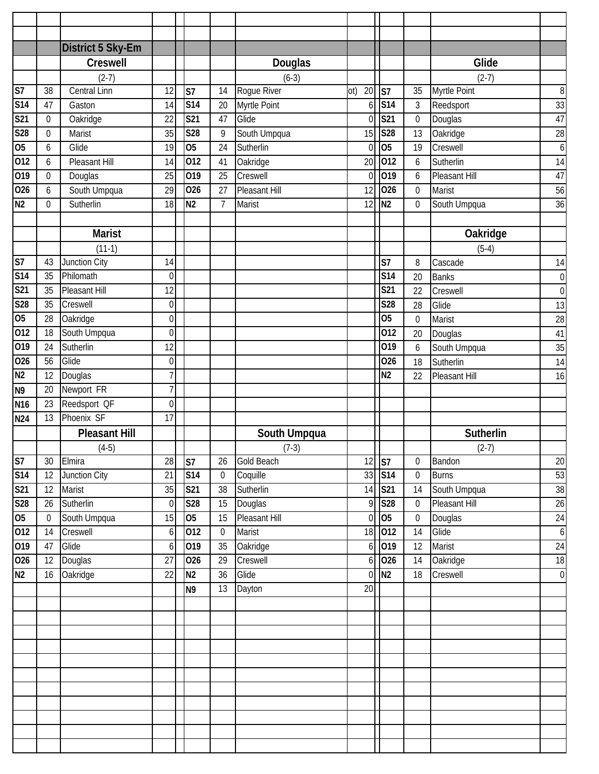|                 |                | District 5 Sky-Em    |                  |                         |                  |                      |                  |                 |                  |                      |                  |
|-----------------|----------------|----------------------|------------------|-------------------------|------------------|----------------------|------------------|-----------------|------------------|----------------------|------------------|
|                 |                | Creswell             |                  |                         |                  | <b>Douglas</b>       |                  |                 |                  | Glide                |                  |
|                 |                | $(2-7)$              |                  |                         |                  | $(6-3)$              |                  |                 |                  | $(2-7)$              |                  |
| S7              | 38             | Central Linn         | 12               | S7                      | 14               | Rogue River          | 20<br>ot)        | S7              | 35               | Myrtle Point         | 8                |
| <b>S14</b>      | 47             | Gaston               | 14               | $\overline{\text{S}14}$ | 20               | Myrtle Point         | 6                | S <sub>14</sub> | 3                | Reedsport            | 33               |
| S21             | 0              | Oakridge             | 22               | S21                     | 47               | Glide                | $\theta$         | S21             | $\mathbf 0$      | Douglas              | 47               |
| S28             | 0              | Marist               | 35               | S28                     | $\overline{9}$   | South Umpqua         | 15               | S28             | 13               | Oakridge             | $\overline{28}$  |
| 05              | 6              | Glide                | 19               | $\overline{05}$         | 24               | Sutherlin            | $\boldsymbol{0}$ | 05              | 19               | Creswell             | $\boldsymbol{6}$ |
| 012             | 6              | Pleasant Hill        | 14               | 012                     | 41               | <b>Oakridge</b>      | 20               | 012             | 6                | Sutherlin            | 14               |
| 019             | $\mathbf 0$    | Douglas              | $\overline{25}$  | 019                     | 25               | Creswell             | $\overline{0}$   | 019             | 6                | <b>Pleasant Hill</b> | $\overline{47}$  |
| 026             | 6              | South Umpqua         | 29               | 026                     | 27               | <b>Pleasant Hill</b> | 12               | 026             | $\theta$         | <b>Marist</b>        | 56               |
| N <sub>2</sub>  | 0              | Sutherlin            | 18               | N <sub>2</sub>          | $\overline{7}$   | Marist               | 12               | N <sub>2</sub>  | $\mathbf 0$      | South Umpqua         | $\overline{36}$  |
|                 |                |                      |                  |                         |                  |                      |                  |                 |                  |                      |                  |
|                 |                | <b>Marist</b>        |                  |                         |                  |                      |                  |                 |                  | Oakridge             |                  |
|                 |                | $(11-1)$             |                  |                         |                  |                      |                  |                 |                  | $(5-4)$              |                  |
| S7              | 43             | Junction City        | 14               |                         |                  |                      |                  | S7              | 8                | Cascade              | 14               |
| S14             | 35             | Philomath            | $\mathbf 0$      |                         |                  |                      |                  | <b>S14</b>      | 20               | <b>Banks</b>         | $\boldsymbol{0}$ |
| S21             | 35             | Pleasant Hill        | 12               |                         |                  |                      |                  | S21             | 22               | Creswell             | $\overline{0}$   |
| S28             | 35             | Creswell             | $\mathbf 0$      |                         |                  |                      |                  | <b>S28</b>      | 28               | Glide                | 13               |
| 05              | 28             | Oakridge             | $\mathbf 0$      |                         |                  |                      |                  | 05              | $\mathbf 0$      | Marist               | 28               |
| 012             | 18             | South Umpqua         | $\mathbf 0$      |                         |                  |                      |                  | 012             | 20               | Douglas              | 41               |
| 019             | 24             | Sutherlin            | 12               |                         |                  |                      |                  | 019             | 6                | South Umpqua         | 35               |
| 026             | 56             | Glide                | $\mathbf 0$      |                         |                  |                      |                  | 026             | 18               | Sutherlin            | 14               |
| N <sub>2</sub>  | 12             | Douglas              | $\overline{7}$   |                         |                  |                      |                  | N <sub>2</sub>  | 22               | Pleasant Hill        | 16               |
| N <sub>9</sub>  | 20             | Newport FR           | $\overline{7}$   |                         |                  |                      |                  |                 |                  |                      |                  |
| N <sub>16</sub> | 23             | Reedsport QF         | 0                |                         |                  |                      |                  |                 |                  |                      |                  |
| N24             | 13             | Phoenix SF           | 17               |                         |                  |                      |                  |                 |                  |                      |                  |
|                 |                | <b>Pleasant Hill</b> |                  |                         |                  | South Umpqua         |                  |                 |                  | Sutherlin            |                  |
|                 |                | $(4-5)$              |                  |                         |                  | $(7-3)$              |                  |                 |                  | $(2-7)$              |                  |
| S <sub>7</sub>  | 30             | Elmira               | 28               | S <sub>7</sub>          | 26               | Gold Beach           | 12               | S7              | $\boldsymbol{0}$ | Bandon               | 20               |
| <b>S14</b>      | 12             | Junction City        | 21               | <b>S14</b>              | $\boldsymbol{0}$ | Coquille             | 33               | <b>S14</b>      | $\mathbf 0$      | <b>Burns</b>         | 53               |
| S <sub>21</sub> | 12             | Marist               | 35               | S21                     | 38               | Sutherlin            | 14               | S <sub>21</sub> | 14               | South Umpqua         | 38               |
| S <sub>28</sub> | 26             | Sutherlin            | $\mathbf 0$      | S28                     | 15               | Douglas              | $\overline{9}$   | S28             | $\mathbf{0}$     | <b>Pleasant Hill</b> | 26               |
| 05              | $\overline{0}$ | South Umpqua         | 15               | 05                      | 15               | <b>Pleasant Hill</b> | $\overline{0}$   | 05              | $\mathbf 0$      | Douglas              | 24               |
| 012             | 14             | Creswell             | $\boldsymbol{6}$ | 012                     | $\boldsymbol{0}$ | Marist               | 18               | 012             | 14               | Glide                | $\boldsymbol{6}$ |
| 019             | 47             | Glide                | 6                | 019                     | 35               | Oakridge             | 6 <sup>1</sup>   | 019             | 12               | Marist               | 24               |
| 026             | 12             | Douglas              | 27               | 026                     | 29               | Creswell             | $6 \mid$         | 026             | 14               | Oakridge             | $\overline{18}$  |
| N <sub>2</sub>  | 16             | Oakridge             | $\overline{22}$  | N <sub>2</sub>          | $\overline{36}$  | Glide                | $\overline{0}$   | N <sub>2</sub>  | 18               | Creswell             | $\overline{0}$   |
|                 |                |                      |                  | N <sub>9</sub>          | 13               | Dayton               | 20               |                 |                  |                      |                  |
|                 |                |                      |                  |                         |                  |                      |                  |                 |                  |                      |                  |
|                 |                |                      |                  |                         |                  |                      |                  |                 |                  |                      |                  |
|                 |                |                      |                  |                         |                  |                      |                  |                 |                  |                      |                  |
|                 |                |                      |                  |                         |                  |                      |                  |                 |                  |                      |                  |
|                 |                |                      |                  |                         |                  |                      |                  |                 |                  |                      |                  |
|                 |                |                      |                  |                         |                  |                      |                  |                 |                  |                      |                  |
|                 |                |                      |                  |                         |                  |                      |                  |                 |                  |                      |                  |
|                 |                |                      |                  |                         |                  |                      |                  |                 |                  |                      |                  |
|                 |                |                      |                  |                         |                  |                      |                  |                 |                  |                      |                  |
|                 |                |                      |                  |                         |                  |                      |                  |                 |                  |                      |                  |
|                 |                |                      |                  |                         |                  |                      |                  |                 |                  |                      |                  |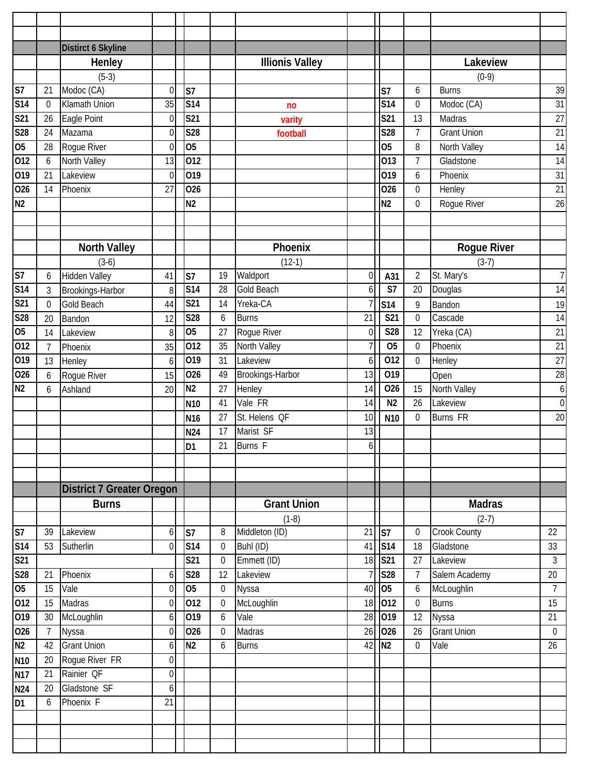|                          |                | <b>Distirct 6 Skyline</b>        |                |                 |                  |                           |                |                 |                  |                                |                  |
|--------------------------|----------------|----------------------------------|----------------|-----------------|------------------|---------------------------|----------------|-----------------|------------------|--------------------------------|------------------|
|                          |                | Henley                           |                |                 |                  | <b>Illionis Valley</b>    |                |                 |                  | Lakeview                       |                  |
|                          |                | $(5-3)$                          |                |                 |                  |                           |                |                 |                  | $(0-9)$                        |                  |
| S <sub>7</sub>           | 21             | Modoc (CA)                       | $\mathbf 0$    | S7              |                  |                           |                | S7              | 6                | <b>Burns</b>                   | 39               |
| S <sub>14</sub>          | $\overline{0}$ | <b>Klamath Union</b>             | 35             | S <sub>14</sub> |                  | no                        |                | <b>S14</b>      | $\boldsymbol{0}$ | Modoc (CA)                     | 31               |
| S21                      | 26             | Eagle Point                      | $\mathbf 0$    | S21             |                  | varity                    |                | S21             | 13               | Madras                         | 27               |
| S28                      | 24             | Mazama                           | 0              | S28             |                  | football                  |                | S28             | $\overline{7}$   | <b>Grant Union</b>             | $\overline{21}$  |
| 05                       | 28             | <b>Roque River</b>               | $\theta$       | 05              |                  |                           |                | 05              | 8                | North Valley                   | 14               |
| 012                      | 6              | North Valley                     | 13             | 012             |                  |                           |                | 013             | $\overline{1}$   | Gladstone                      | 14               |
| 019                      | 21             | Lakeview                         | $\theta$       | 019             |                  |                           |                | 019             | 6                | Phoenix                        | 31               |
| 026                      | 14             | Phoenix                          | 27             | 026             |                  |                           |                | 026             | $\mathbf 0$      | Henley                         | 21               |
| N <sub>2</sub>           |                |                                  |                | N <sub>2</sub>  |                  |                           |                | N <sub>2</sub>  | $\boldsymbol{0}$ | Rogue River                    | $\overline{26}$  |
|                          |                |                                  |                |                 |                  |                           |                |                 |                  |                                |                  |
|                          |                |                                  |                |                 |                  |                           |                |                 |                  |                                |                  |
|                          |                | <b>North Valley</b>              |                |                 |                  | Phoenix                   |                |                 |                  | <b>Rogue River</b>             |                  |
|                          |                | $(3-6)$                          |                |                 |                  | $(12-1)$                  |                |                 |                  | $(3-7)$                        |                  |
| S <sub>7</sub>           | 6              | <b>Hidden Valley</b>             | 41             | S7              | 19               | Waldport                  | $\mathbf 0$    | A31             | $\overline{2}$   | St. Mary's                     | 7 <sup>1</sup>   |
| <b>S14</b>               | 3              | Brookings-Harbor                 | 8              | S <sub>14</sub> | 28               | <b>Gold Beach</b>         | 6              | S7              | 20               | Douglas                        | 14               |
| S21                      | 0              | Gold Beach                       | 44             | S21             | 14               | Yreka-CA                  | 7              | S14             | 9                | Bandon                         | 19               |
| S <sub>28</sub>          | 20             | Bandon                           | 12             | S28             | 6                | <b>Burns</b>              | 21             | S21             | $\mathbf 0$      | Cascade                        | 14               |
| 05                       | 14             | Lakeview                         | 8              | 05              | 27               | Rogue River               | $\mathbf 0$    | <b>S28</b>      | 12               | Yreka (CA)                     | 21               |
| 012                      | $\overline{7}$ | Phoenix                          | 35             | 012             | 35               | North Valley              | $\overline{7}$ | $\overline{05}$ | $\mathbf 0$      | Phoenix                        | 21               |
| $\overline{019}$         | 13             | Henley                           | 6              | 019             | 31               | Lakeview                  | 6              | 012             | $\theta$         | Henley                         | $\overline{27}$  |
| 026                      | 6              | Rogue River                      | 15             | 026             | 49               | Brookings-Harbor          | 13             | 019             |                  | Open                           | $\overline{28}$  |
| N <sub>2</sub>           | 6              | Ashland                          | 20             | N <sub>2</sub>  | 27               | Henley                    | 14             | 026             | 15               | North Valley                   | $\boldsymbol{6}$ |
|                          |                |                                  |                | N <sub>10</sub> | 41               | Vale FR                   | 14             | N <sub>2</sub>  | 26               | Lakeview                       | $\boldsymbol{0}$ |
|                          |                |                                  |                | N <sub>16</sub> | 27               | St. Helens QF             | 10             | N <sub>10</sub> | $\boldsymbol{0}$ | <b>Burns FR</b>                | 20               |
|                          |                |                                  |                | N24             | 17               | Marist SF                 | 13             |                 |                  |                                |                  |
|                          |                |                                  |                | D <sub>1</sub>  | 21               | <b>Burns</b> F            | 6              |                 |                  |                                |                  |
|                          |                |                                  |                |                 |                  |                           |                |                 |                  |                                |                  |
|                          |                |                                  |                |                 |                  |                           |                |                 |                  |                                |                  |
|                          |                | <b>District 7 Greater Oregon</b> |                |                 |                  |                           |                |                 |                  |                                |                  |
|                          |                | <b>Burns</b>                     |                |                 |                  | <b>Grant Union</b>        |                |                 |                  | <b>Madras</b>                  |                  |
|                          |                |                                  |                |                 |                  |                           |                |                 |                  |                                |                  |
| $\overline{\mathsf{S}7}$ | 39             | Lakeview                         | 6              | S7              | 8                | $(1-8)$<br>Middleton (ID) | 21             | S7              | $\mathbf 0$      | $(2-7)$<br><b>Crook County</b> | 22               |
| S <sub>14</sub>          | 53             | Sutherlin                        | $\overline{0}$ | S14             | $\mathbf 0$      | Buhl (ID)                 | 41             | S <sub>14</sub> | 18               | Gladstone                      | 33               |
| $\overline{\text{S21}}$  |                |                                  |                | S21             | $\boldsymbol{0}$ | Emmett (ID)               | 18             | S21             | 27               | Lakeview                       | 3                |
| S28                      | 21             | Phoenix                          | 6              | <b>S28</b>      | 12               | Lakeview                  | $\overline{7}$ | <b>S28</b>      | $\overline{7}$   | Salem Academy                  | 20               |
| 05                       | 15             | Vale                             | $\mathbf 0$    | O <sub>5</sub>  | $\boldsymbol{0}$ | Nyssa                     | 40             | 05              | 6                | McLoughlin                     | $\overline{7}$   |
| 012                      | 15             | Madras                           | $\mathbf 0$    | 012             | $\mathbf 0$      | McLoughlin                | 18             | 012             | $\mathbf 0$      | <b>Burns</b>                   | 15               |
| 019                      | 30             | McLoughlin                       | 6              | 019             | 6                | Vale                      | 28             | 019             | 12               |                                | 21               |
| $\overline{0}26$         | 7              |                                  | $\mathbf 0$    | 026             |                  | Madras                    | 26             | 026             | 26               | Nyssa<br><b>Grant Union</b>    | $\boldsymbol{0}$ |
|                          |                | Nyssa                            |                |                 | $\boldsymbol{0}$ |                           |                |                 |                  |                                |                  |
| N <sub>2</sub>           | 42             | <b>Grant Union</b>               | 6              | N <sub>2</sub>  | 6                | <b>Burns</b>              | 42             | N <sub>2</sub>  | $\mathbf 0$      | Vale                           | 26               |
| N <sub>10</sub>          | 20             | Rogue River FR                   | $\mathbf 0$    |                 |                  |                           |                |                 |                  |                                |                  |
| <b>N17</b>               | 21             | Rainier QF                       | $\overline{0}$ |                 |                  |                           |                |                 |                  |                                |                  |
| N24                      | 20             | Gladstone SF                     | 6              |                 |                  |                           |                |                 |                  |                                |                  |
| D <sub>1</sub>           | 6              | Phoenix F                        | 21             |                 |                  |                           |                |                 |                  |                                |                  |
|                          |                |                                  |                |                 |                  |                           |                |                 |                  |                                |                  |
|                          |                |                                  |                |                 |                  |                           |                |                 |                  |                                |                  |
|                          |                |                                  |                |                 |                  |                           |                |                 |                  |                                |                  |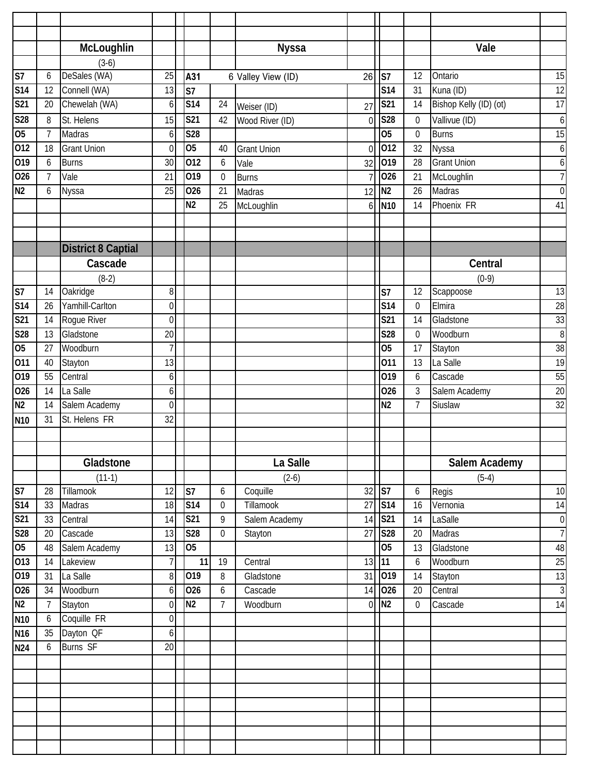|                          |                 | McLoughlin                |                  |                  |                  | <b>Nyssa</b>       |                 |                         |                  | Vale                   |                  |
|--------------------------|-----------------|---------------------------|------------------|------------------|------------------|--------------------|-----------------|-------------------------|------------------|------------------------|------------------|
|                          |                 | $(3-6)$                   |                  |                  |                  |                    |                 |                         |                  |                        |                  |
| $\overline{\mathsf{S}7}$ | 6               | DeSales (WA)              | 25               | A31              |                  | 6 Valley View (ID) | 26              | S7                      | 12               | Ontario                | 15               |
| S14                      | 12              | Connell (WA)              | 13               | S7               |                  |                    |                 | S <sub>14</sub>         | 31               | Kuna (ID)              | $\overline{12}$  |
| S21                      | 20              | Chewelah (WA)             | 6                | S <sub>14</sub>  | 24               | Weiser (ID)        | 27              | S21                     | 14               | Bishop Kelly (ID) (ot) | $\overline{17}$  |
| S28                      | 8               | St. Helens                | 15               | $\overline{S21}$ | 42               | Wood River (ID)    | $\Omega$        | S28                     | $\theta$         | Vallivue (ID)          | $\boldsymbol{6}$ |
| 05                       | $\overline{7}$  | Madras                    | 6                | S28              |                  |                    |                 | 05                      | $\mathbf 0$      | <b>Burns</b>           | 15               |
| 012                      | 18              | <b>Grant Union</b>        | $\mathbf{0}$     | $\overline{05}$  | 40               | <b>Grant Union</b> | $\mathbf{0}$    | 012                     | 32               | <b>Nyssa</b>           | $\boldsymbol{6}$ |
| 019                      | 6               | <b>Burns</b>              | 30               | 012              | 6                | Vale               | 32              | 019                     | 28               | <b>Grant Union</b>     | $\boldsymbol{6}$ |
| 026                      | $\overline{7}$  | Vale                      | 21               | 019              | $\boldsymbol{0}$ | <b>Burns</b>       | $\overline{7}$  | 026                     | 21               | McLoughlin             | 7                |
| N <sub>2</sub>           | 6               | <b>Nyssa</b>              | 25               | 026              | 21               | Madras             | 12              | N <sub>2</sub>          | 26               | Madras                 | $\overline{0}$   |
|                          |                 |                           |                  | N <sub>2</sub>   | 25               | McLoughlin         | 6 <sup>1</sup>  | N <sub>10</sub>         | 14               | Phoenix FR             | 41               |
|                          |                 |                           |                  |                  |                  |                    |                 |                         |                  |                        |                  |
|                          |                 |                           |                  |                  |                  |                    |                 |                         |                  |                        |                  |
|                          |                 | <b>District 8 Captial</b> |                  |                  |                  |                    |                 |                         |                  |                        |                  |
|                          |                 | Cascade                   |                  |                  |                  |                    |                 |                         |                  | Central                |                  |
|                          |                 | $(8-2)$                   |                  |                  |                  |                    |                 |                         |                  | $(0-9)$                |                  |
| S7                       | 14              | Oakridge                  | 8                |                  |                  |                    |                 | S7                      | 12               | Scappoose              | 13               |
| <b>S14</b>               | 26              | Yamhill-Carlton           | $\mathbf 0$      |                  |                  |                    |                 | $\overline{S14}$        | $\mathbf 0$      | Elmira                 | $\overline{28}$  |
| S21                      | 14              | Rogue River               | $\overline{0}$   |                  |                  |                    |                 | S21                     | 14               | Gladstone              | 33               |
| S28                      | 13              | Gladstone                 | 20               |                  |                  |                    |                 | $\overline{\text{S28}}$ | $\mathbf 0$      | Woodburn               | $\overline{8}$   |
| 05                       | 27              | Woodburn                  | 7                |                  |                  |                    |                 | 05                      | 17               | Stayton                | 38               |
| 011                      | 40              | Stayton                   | 13               |                  |                  |                    |                 | 011                     | 13               | La Salle               | $\overline{19}$  |
| 019                      | 55              | Central                   | 6                |                  |                  |                    |                 | 019                     | 6                | Cascade                | 55               |
| 026                      | 14              | La Salle                  | 6                |                  |                  |                    |                 | 026                     | 3                | Salem Academy          | $\overline{20}$  |
| N <sub>2</sub>           | 14              | Salem Academy             | $\mathbf 0$      |                  |                  |                    |                 | N <sub>2</sub>          | $\overline{7}$   | Siuslaw                | 32               |
| N <sub>10</sub>          | 31              | St. Helens FR             | 32               |                  |                  |                    |                 |                         |                  |                        |                  |
|                          |                 |                           |                  |                  |                  |                    |                 |                         |                  |                        |                  |
|                          |                 |                           |                  |                  |                  |                    |                 |                         |                  |                        |                  |
|                          |                 | Gladstone                 |                  |                  |                  | La Salle           |                 |                         |                  | Salem Academy          |                  |
|                          |                 | $(11-1)$                  |                  |                  |                  | $(2-6)$            |                 |                         |                  | $(5-4)$                |                  |
| $\overline{\mathsf{S}7}$ | 28              | Tillamook                 | 12               | S7               | 6                | Coquille           | 32              | S <sub>7</sub>          | 6                | Regis                  | 10               |
| <b>S14</b>               | 33              | Madras                    | 18               | <b>S14</b>       | $\boldsymbol{0}$ | Tillamook          | 27              | S14                     | 16               | Vernonia               | $\overline{14}$  |
| S21                      | 33              | Central                   | 14               | S21              | 9                | Salem Academy      | 14              | S <sub>21</sub>         | 14               | LaSalle                | $\boldsymbol{0}$ |
| S28                      | 20              | Cascade                   | 13               | S28              | $\mathbf 0$      | Stayton            | $\overline{27}$ | S <sub>28</sub>         | 20               | Madras                 | $\overline{7}$   |
| O <sub>5</sub>           | 48              | Salem Academy             | 13               | $\overline{05}$  |                  |                    |                 | $\overline{05}$         | 13               | Gladstone              | 48               |
| 013                      | 14              | Lakeview                  | $\overline{7}$   | 11               | 19               | Central            | 13              | 11                      | 6                | Woodburn               | $\overline{25}$  |
| 019                      | 31              | La Salle                  | 8                | 019              | $\, 8$           | Gladstone          | 31              | 019                     | 14               | Stayton                | 13               |
| 026                      | 34              | Woodburn                  | 6                | 026              | 6                | Cascade            | 14              | 026                     | 20               | Central                | $\sqrt{3}$       |
| N <sub>2</sub>           | $7\overline{ }$ | Stayton                   | $\boldsymbol{0}$ | N <sub>2</sub>   | $\overline{7}$   | Woodburn           | $\overline{0}$  | N <sub>2</sub>          | $\boldsymbol{0}$ | Cascade                | $\overline{14}$  |
| N <sub>10</sub>          | 6               | Coquille FR               | $\boldsymbol{0}$ |                  |                  |                    |                 |                         |                  |                        |                  |
| N <sub>16</sub>          | 35              | Dayton QF                 | 6                |                  |                  |                    |                 |                         |                  |                        |                  |
| N24                      | 6               | <b>Burns SF</b>           | 20               |                  |                  |                    |                 |                         |                  |                        |                  |
|                          |                 |                           |                  |                  |                  |                    |                 |                         |                  |                        |                  |
|                          |                 |                           |                  |                  |                  |                    |                 |                         |                  |                        |                  |
|                          |                 |                           |                  |                  |                  |                    |                 |                         |                  |                        |                  |
|                          |                 |                           |                  |                  |                  |                    |                 |                         |                  |                        |                  |
|                          |                 |                           |                  |                  |                  |                    |                 |                         |                  |                        |                  |
|                          |                 |                           |                  |                  |                  |                    |                 |                         |                  |                        |                  |
|                          |                 |                           |                  |                  |                  |                    |                 |                         |                  |                        |                  |